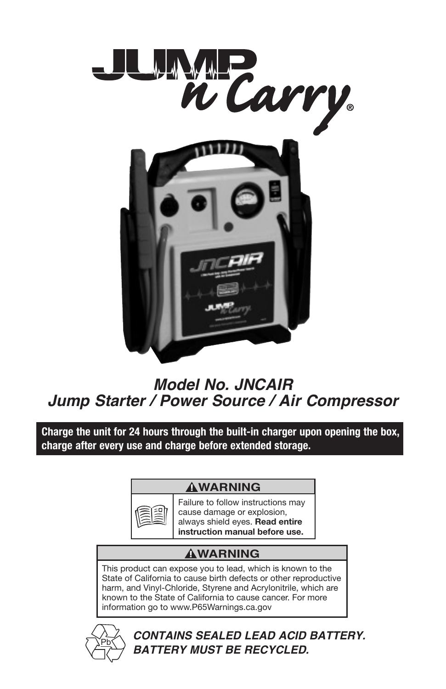

### **Model No. JNCAIR Jump Starter / Power Source / Air Compressor**

**Charge the unit for 24 hours through the built-in charger upon opening the box, charge after every use and charge before extended storage.**

#### **WARNING**



Failure to follow instructions may cause damage or explosion, always shield eyes. **Read entire instruction manual before use.**

#### **WARNING**

This product can expose you to lead, which is known to the State of California to cause birth defects or other reproductive harm, and Vinyl-Chloride, Styrene and Acrylonitrile, which are known to the State of California to cause cancer. For more information go to www.P65Warnings.ca.gov



**CONTAINS SEALED LEAD ACID BATTERY. BATTERY MUST BE RECYCLED.**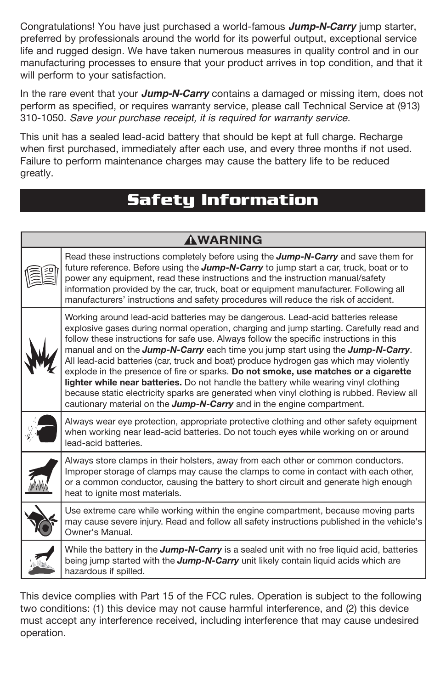Congratulations! You have just purchased a world-famous **Jump-N-Carry** jump starter, preferred by professionals around the world for its powerful output, exceptional service life and rugged design. We have taken numerous measures in quality control and in our manufacturing processes to ensure that your product arrives in top condition, and that it will perform to your satisfaction.

In the rare event that your **Jump-N-Carry** contains a damaged or missing item, does not perform as specified, or requires warranty service, please call Technical Service at (913) 310-1050. Save your purchase receipt, it is required for warranty service.

This unit has a sealed lead-acid battery that should be kept at full charge. Recharge when first purchased, immediately after each use, and every three months if not used. Failure to perform maintenance charges may cause the battery life to be reduced greatly.

### **Safety Information**

| <b>AWARNING</b> |                                                                                                                                                                                                                                                                                                                                                                                                                                                                                                                                                                                                                                                                                                                                                                                                           |  |
|-----------------|-----------------------------------------------------------------------------------------------------------------------------------------------------------------------------------------------------------------------------------------------------------------------------------------------------------------------------------------------------------------------------------------------------------------------------------------------------------------------------------------------------------------------------------------------------------------------------------------------------------------------------------------------------------------------------------------------------------------------------------------------------------------------------------------------------------|--|
|                 | Read these instructions completely before using the <b>Jump-N-Carry</b> and save them for<br>future reference. Before using the <b>Jump-N-Carry</b> to jump start a car, truck, boat or to<br>power any equipment, read these instructions and the instruction manual/safety<br>information provided by the car, truck, boat or equipment manufacturer. Following all<br>manufacturers' instructions and safety procedures will reduce the risk of accident.                                                                                                                                                                                                                                                                                                                                              |  |
|                 | Working around lead-acid batteries may be dangerous. Lead-acid batteries release<br>explosive gases during normal operation, charging and jump starting. Carefully read and<br>follow these instructions for safe use. Always follow the specific instructions in this<br>manual and on the Jump-N-Carry each time you jump start using the Jump-N-Carry.<br>All lead-acid batteries (car, truck and boat) produce hydrogen gas which may violently<br>explode in the presence of fire or sparks. Do not smoke, use matches or a cigarette<br>lighter while near batteries. Do not handle the battery while wearing vinyl clothing<br>because static electricity sparks are generated when vinyl clothing is rubbed. Review all<br>cautionary material on the Jump-N-Carry and in the engine compartment. |  |
|                 | Always wear eye protection, appropriate protective clothing and other safety equipment<br>when working near lead-acid batteries. Do not touch eyes while working on or around<br>lead-acid batteries.                                                                                                                                                                                                                                                                                                                                                                                                                                                                                                                                                                                                     |  |
|                 | Always store clamps in their holsters, away from each other or common conductors.<br>Improper storage of clamps may cause the clamps to come in contact with each other,<br>or a common conductor, causing the battery to short circuit and generate high enough<br>heat to ignite most materials.                                                                                                                                                                                                                                                                                                                                                                                                                                                                                                        |  |
|                 | Use extreme care while working within the engine compartment, because moving parts<br>may cause severe injury. Read and follow all safety instructions published in the vehicle's<br>Owner's Manual.                                                                                                                                                                                                                                                                                                                                                                                                                                                                                                                                                                                                      |  |
|                 | While the battery in the <b>Jump-N-Carry</b> is a sealed unit with no free liquid acid, batteries<br>being jump started with the <b>Jump-N-Carry</b> unit likely contain liquid acids which are<br>hazardous if spilled.                                                                                                                                                                                                                                                                                                                                                                                                                                                                                                                                                                                  |  |

This device complies with Part 15 of the FCC rules. Operation is subject to the following two conditions: (1) this device may not cause harmful interference, and (2) this device must accept any interference received, including interference that may cause undesired operation.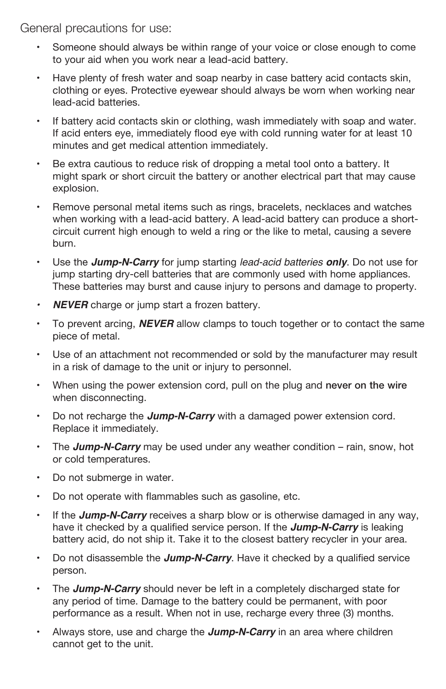General precautions for use:

- Someone should always be within range of your voice or close enough to come to your aid when you work near a lead-acid battery.
- Have plenty of fresh water and soap nearby in case battery acid contacts skin, clothing or eyes. Protective eyewear should always be worn when working near lead-acid batteries.
- If battery acid contacts skin or clothing, wash immediately with soap and water. If acid enters eye, immediately flood eye with cold running water for at least 10 minutes and get medical attention immediately.
- Be extra cautious to reduce risk of dropping a metal tool onto a battery. It might spark or short circuit the battery or another electrical part that may cause explosion.
- Remove personal metal items such as rings, bracelets, necklaces and watches when working with a lead-acid battery. A lead-acid battery can produce a shortcircuit current high enough to weld a ring or the like to metal, causing a severe burn.
- Use the **Jump-N-Carry** for jump starting lead-acid batteries only. Do not use for jump starting dry-cell batteries that are commonly used with home appliances. These batteries may burst and cause injury to persons and damage to property.
- **NEVER** charge or jump start a frozen battery.
- To prevent arcing, **NEVER** allow clamps to touch together or to contact the same piece of metal.
- Use of an attachment not recommended or sold by the manufacturer may result in a risk of damage to the unit or injury to personnel.
- When using the power extension cord, pull on the plug and never on the wire when disconnecting.
- Do not recharge the **Jump-N-Carry** with a damaged power extension cord. Replace it immediately.
- The **Jump-N-Carry** may be used under any weather condition rain, snow, hot or cold temperatures.
- Do not submerge in water.
- Do not operate with flammables such as gasoline, etc.
- If the **Jump-N-Carry** receives a sharp blow or is otherwise damaged in any way, have it checked by a qualified service person. If the **Jump-N-Carry** is leaking battery acid, do not ship it. Take it to the closest battery recycler in your area.
- Do not disassemble the **Jump-N-Carry**. Have it checked by a qualified service person.
- The **Jump-N-Carry** should never be left in a completely discharged state for any period of time. Damage to the battery could be permanent, with poor performance as a result. When not in use, recharge every three (3) months.
- Always store, use and charge the **Jump-N-Carry** in an area where children cannot get to the unit.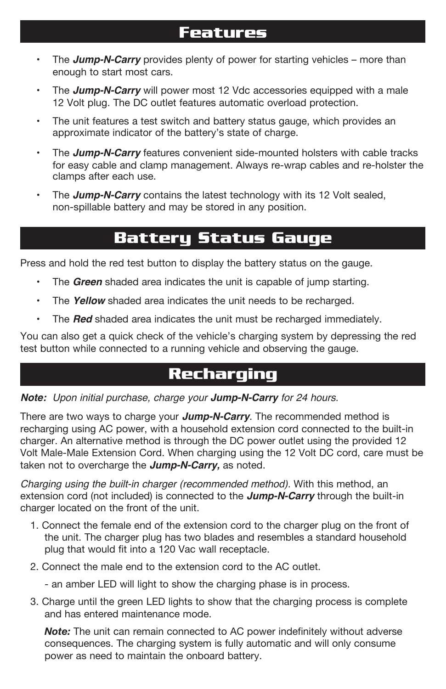#### **Features**

- The **Jump-N-Carry** provides plenty of power for starting vehicles more than enough to start most cars.
- The **Jump-N-Carry** will power most 12 Vdc accessories equipped with a male 12 Volt plug. The DC outlet features automatic overload protection.
- The unit features a test switch and battery status gauge, which provides an approximate indicator of the battery's state of charge.
- The **Jump-N-Carry** features convenient side-mounted holsters with cable tracks for easy cable and clamp management. Always re-wrap cables and re-holster the clamps after each use.
- The **Jump-N-Carry** contains the latest technology with its 12 Volt sealed, non-spillable battery and may be stored in any position.

#### **Battery Status Gauge**

Press and hold the red test button to display the battery status on the gauge.

- The **Green** shaded area indicates the unit is capable of jump starting.
- The **Yellow** shaded area indicates the unit needs to be recharged.
- The **Red** shaded area indicates the unit must be recharged immediately.

You can also get a quick check of the vehicle's charging system by depressing the red test button while connected to a running vehicle and observing the gauge.

### **Recharging**

**Note:** Upon initial purchase, charge your **Jump-N-Carry** for 24 hours.

There are two ways to charge your **Jump-N-Carry**. The recommended method is recharging using AC power, with a household extension cord connected to the built-in charger. An alternative method is through the DC power outlet using the provided 12 Volt Male-Male Extension Cord. When charging using the 12 Volt DC cord, care must be taken not to overcharge the **Jump-N-Carry,** as noted.

Charging using the built-in charger (recommended method). With this method, an extension cord (not included) is connected to the **Jump-N-Carry** through the built-in charger located on the front of the unit.

- 1. Connect the female end of the extension cord to the charger plug on the front of the unit. The charger plug has two blades and resembles a standard household plug that would fit into a 120 Vac wall receptacle.
- 2. Connect the male end to the extension cord to the AC outlet.
	- an amber LED will light to show the charging phase is in process.
- 3. Charge until the green LED lights to show that the charging process is complete and has entered maintenance mode.

*Note:* The unit can remain connected to AC power indefinitely without adverse consequences. The charging system is fully automatic and will only consume power as need to maintain the onboard battery.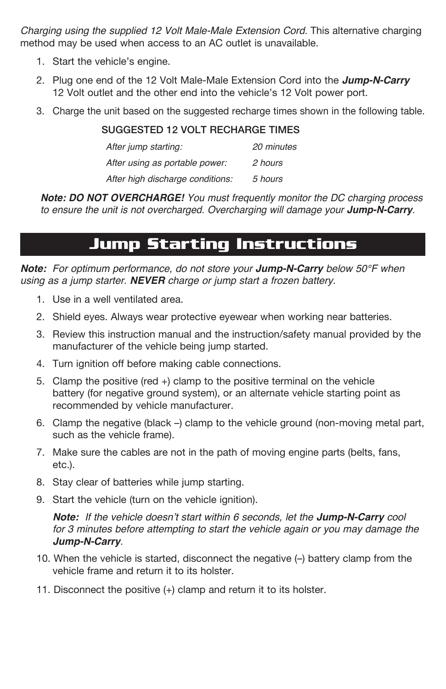Charging using the supplied 12 Volt Male-Male Extension Cord. This alternative charging method may be used when access to an AC outlet is unavailable.

- 1. Start the vehicle's engine.
- 2. Plug one end of the 12 Volt Male-Male Extension Cord into the **Jump-N-Carry** 12 Volt outlet and the other end into the vehicle's 12 Volt power port.
- 3. Charge the unit based on the suggested recharge times shown in the following table.

#### SUGGESTED 12 VOLT RECHARGE TIMES

| After jump starting:             | 20 minutes |
|----------------------------------|------------|
| After using as portable power:   | 2 hours    |
| After high discharge conditions: | 5 hours    |

**Note: DO NOT OVERCHARGE!** You must frequently monitor the DC charging process to ensure the unit is not overcharged. Overcharging will damage your **Jump-N-Carry**.

### **Jump Starting Instructions**

**Note:** For optimum performance, do not store your **Jump-N-Carry** below 50°F when using as a jump starter. **NEVER** charge or jump start a frozen battery.

- 1. Use in a well ventilated area.
- 2. Shield eyes. Always wear protective eyewear when working near batteries.
- 3. Review this instruction manual and the instruction/safety manual provided by the manufacturer of the vehicle being jump started.
- 4. Turn ignition off before making cable connections.
- 5. Clamp the positive (red +) clamp to the positive terminal on the vehicle battery (for negative ground system), or an alternate vehicle starting point as recommended by vehicle manufacturer.
- 6. Clamp the negative (black –) clamp to the vehicle ground (non-moving metal part, such as the vehicle frame).
- 7. Make sure the cables are not in the path of moving engine parts (belts, fans, etc.).
- 8. Stay clear of batteries while jump starting.
- 9. Start the vehicle (turn on the vehicle ignition).

**Note:** If the vehicle doesn't start within 6 seconds, let the **Jump-N-Carry** cool for 3 minutes before attempting to start the vehicle again or you may damage the **Jump-N-Carry**.

- 10. When the vehicle is started, disconnect the negative (–) battery clamp from the vehicle frame and return it to its holster.
- 11. Disconnect the positive (+) clamp and return it to its holster.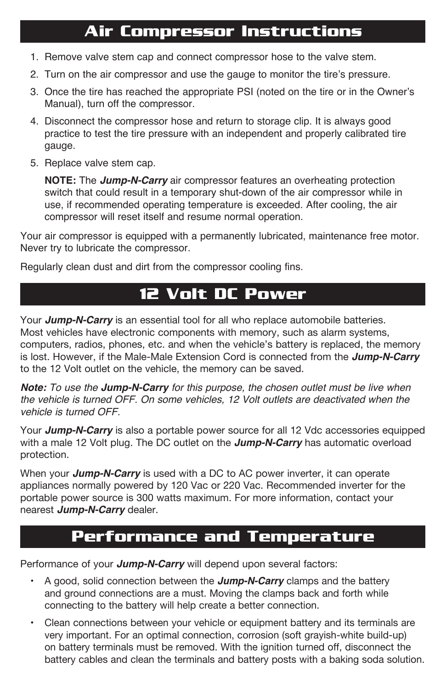### **Air Compressor Instructions**

- 1. Remove valve stem cap and connect compressor hose to the valve stem.
- 2. Turn on the air compressor and use the gauge to monitor the tire's pressure.
- 3. Once the tire has reached the appropriate PSI (noted on the tire or in the Owner's Manual), turn off the compressor.
- 4. Disconnect the compressor hose and return to storage clip. It is always good practice to test the tire pressure with an independent and properly calibrated tire gauge.
- 5. Replace valve stem cap.

**NOTE:** The **Jump-N-Carry** air compressor features an overheating protection switch that could result in a temporary shut-down of the air compressor while in use, if recommended operating temperature is exceeded. After cooling, the air compressor will reset itself and resume normal operation.

Your air compressor is equipped with a permanently lubricated, maintenance free motor. Never try to lubricate the compressor.

Regularly clean dust and dirt from the compressor cooling fins.

### **12 Volt DC Power**

Your **Jump-N-Carry** is an essential tool for all who replace automobile batteries. Most vehicles have electronic components with memory, such as alarm systems, computers, radios, phones, etc. and when the vehicle's battery is replaced, the memory is lost. However, if the Male-Male Extension Cord is connected from the **Jump-N-Carry** to the 12 Volt outlet on the vehicle, the memory can be saved.

**Note:** To use the **Jump-N-Carry** for this purpose, the chosen outlet must be live when the vehicle is turned OFF. On some vehicles, 12 Volt outlets are deactivated when the vehicle is turned OFF.

Your **Jump-N-Carry** is also a portable power source for all 12 Vdc accessories equipped with a male 12 Volt plug. The DC outlet on the **Jump-N-Carry** has automatic overload protection.

When your **Jump-N-Carry** is used with a DC to AC power inverter, it can operate appliances normally powered by 120 Vac or 220 Vac. Recommended inverter for the portable power source is 300 watts maximum. For more information, contact your nearest **Jump-N-Carry** dealer.

#### **Performance and Temperature**

Performance of your **Jump-N-Carry** will depend upon several factors:

- A good, solid connection between the **Jump-N-Carry** clamps and the battery and ground connections are a must. Moving the clamps back and forth while connecting to the battery will help create a better connection.
- Clean connections between your vehicle or equipment battery and its terminals are very important. For an optimal connection, corrosion (soft grayish-white build-up) on battery terminals must be removed. With the ignition turned off, disconnect the battery cables and clean the terminals and battery posts with a baking soda solution.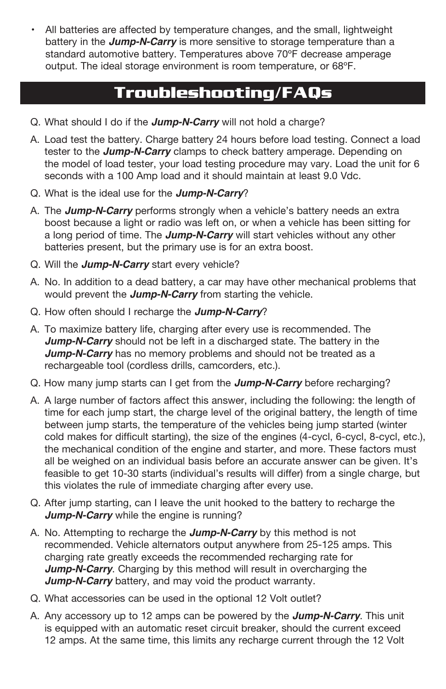• All batteries are affected by temperature changes, and the small, lightweight battery in the **Jump-N-Carry** is more sensitive to storage temperature than a standard automotive battery. Temperatures above 70ºF decrease amperage output. The ideal storage environment is room temperature, or 68ºF.

### **Troubleshooting/FAQs**

- Q. What should I do if the **Jump-N-Carry** will not hold a charge?
- A. Load test the battery. Charge battery 24 hours before load testing. Connect a load tester to the **Jump-N-Carry** clamps to check battery amperage. Depending on the model of load tester, your load testing procedure may vary. Load the unit for 6 seconds with a 100 Amp load and it should maintain at least 9.0 Vdc.
- Q. What is the ideal use for the **Jump-N-Carry**?
- A. The **Jump-N-Carry** performs strongly when a vehicle's battery needs an extra boost because a light or radio was left on, or when a vehicle has been sitting for a long period of time. The **Jump-N-Carry** will start vehicles without any other batteries present, but the primary use is for an extra boost.
- Q. Will the **Jump-N-Carry** start every vehicle?
- A. No. In addition to a dead battery, a car may have other mechanical problems that would prevent the **Jump-N-Carry** from starting the vehicle.
- Q. How often should I recharge the **Jump-N-Carry**?
- A. To maximize battery life, charging after every use is recommended. The **Jump-N-Carry** should not be left in a discharged state. The battery in the **Jump-N-Carry** has no memory problems and should not be treated as a rechargeable tool (cordless drills, camcorders, etc.).
- Q. How many jump starts can I get from the **Jump-N-Carry** before recharging?
- A. A large number of factors affect this answer, including the following: the length of time for each jump start, the charge level of the original battery, the length of time between jump starts, the temperature of the vehicles being jump started (winter cold makes for difficult starting), the size of the engines (4-cycl, 6-cycl, 8-cycl, etc.), the mechanical condition of the engine and starter, and more. These factors must all be weighed on an individual basis before an accurate answer can be given. It's feasible to get 10-30 starts (individual's results will differ) from a single charge, but this violates the rule of immediate charging after every use.
- Q. After jump starting, can I leave the unit hooked to the battery to recharge the **Jump-N-Carry** while the engine is running?
- A. No. Attempting to recharge the **Jump-N-Carry** by this method is not recommended. Vehicle alternators output anywhere from 25-125 amps. This charging rate greatly exceeds the recommended recharging rate for **Jump-N-Carry.** Charging by this method will result in overcharging the **Jump-N-Carry** battery, and may void the product warranty.
- Q. What accessories can be used in the optional 12 Volt outlet?
- A. Any accessory up to 12 amps can be powered by the **Jump-N-Carry**. This unit is equipped with an automatic reset circuit breaker, should the current exceed 12 amps. At the same time, this limits any recharge current through the 12 Volt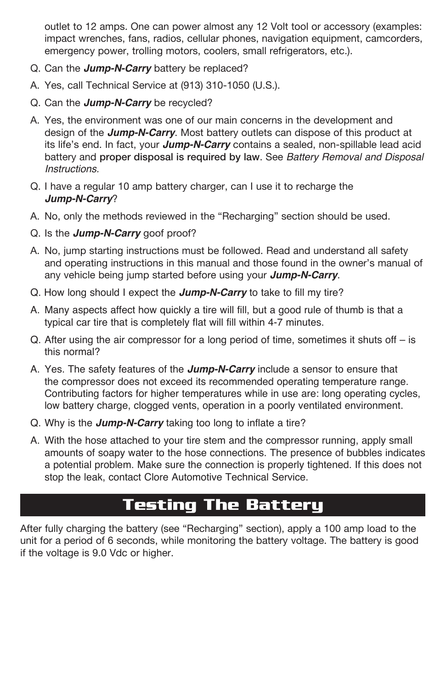outlet to 12 amps. One can power almost any 12 Volt tool or accessory (examples: impact wrenches, fans, radios, cellular phones, navigation equipment, camcorders, emergency power, trolling motors, coolers, small refrigerators, etc.).

- Q. Can the **Jump-N-Carry** battery be replaced?
- A. Yes, call Technical Service at (913) 310-1050 (U.S.).
- Q. Can the **Jump-N-Carry** be recycled?
- A. Yes, the environment was one of our main concerns in the development and design of the **Jump-N-Carry**. Most battery outlets can dispose of this product at its life's end. In fact, your **Jump-N-Carry** contains a sealed, non-spillable lead acid battery and proper disposal is required by law. See Battery Removal and Disposal Instructions.
- Q. I have a regular 10 amp battery charger, can I use it to recharge the **Jump-N-Carry**?
- A. No, only the methods reviewed in the "Recharging" section should be used.
- Q. Is the **Jump-N-Carry** goof proof?
- A. No, jump starting instructions must be followed. Read and understand all safety and operating instructions in this manual and those found in the owner's manual of any vehicle being jump started before using your **Jump-N-Carry**.
- Q. How long should I expect the **Jump-N-Carry** to take to fill my tire?
- A. Many aspects affect how quickly a tire will fill, but a good rule of thumb is that a typical car tire that is completely flat will fill within 4-7 minutes.
- Q. After using the air compressor for a long period of time, sometimes it shuts off  $-$  is this normal?
- A. Yes. The safety features of the **Jump-N-Carry** include a sensor to ensure that the compressor does not exceed its recommended operating temperature range. Contributing factors for higher temperatures while in use are: long operating cycles, low battery charge, clogged vents, operation in a poorly ventilated environment.
- Q. Why is the **Jump-N-Carry** taking too long to inflate a tire?
- A. With the hose attached to your tire stem and the compressor running, apply small amounts of soapy water to the hose connections. The presence of bubbles indicates a potential problem. Make sure the connection is properly tightened. If this does not stop the leak, contact Clore Automotive Technical Service.

## **Testing The Battery**

After fully charging the battery (see "Recharging" section), apply a 100 amp load to the unit for a period of 6 seconds, while monitoring the battery voltage. The battery is good if the voltage is 9.0 Vdc or higher.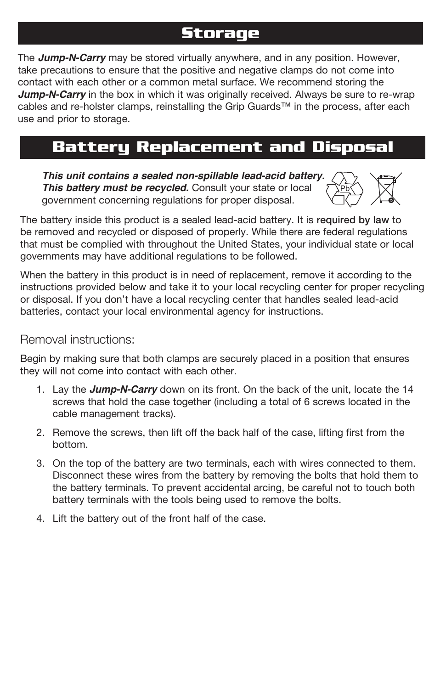### **Storage**

The **Jump-N-Carry** may be stored virtually anywhere, and in any position. However, take precautions to ensure that the positive and negative clamps do not come into contact with each other or a common metal surface. We recommend storing the **Jump-N-Carry** in the box in which it was originally received. Always be sure to re-wrap cables and re-holster clamps, reinstalling the Grip Guards™ in the process, after each use and prior to storage.

### **Battery Replacement and Disposal**

**This unit contains a sealed non-spillable lead-acid battery. This battery must be recycled.** Consult your state or local government concerning regulations for proper disposal.



The battery inside this product is a sealed lead-acid battery. It is required by law to be removed and recycled or disposed of properly. While there are federal regulations that must be complied with throughout the United States, your individual state or governments may have additional regulations to be followed.

When the battery in this product is in need of replacement, remove it according to the instructions provided below and take it to your local recycling center for proper recycling or disposal. If you don't have a local recycling center that handles sealed lead-acid batteries, contact your local environmental agency for instructions.

#### Removal instructions:

Begin by making sure that both clamps are securely placed in a position that ensures they will not come into contact with each other.

- 1. Lay the **Jump-N-Carry** down on its front. On the back of the unit, locate the 14 screws that hold the case together (including a total of 6 screws located in the cable management tracks).
- 2. Remove the screws, then lift off the back half of the case, lifting first from the bottom.
- 3. On the top of the battery are two terminals, each with wires connected to them. Disconnect these wires from the battery by removing the bolts that hold them to the battery terminals. To prevent accidental arcing, be careful not to touch both battery terminals with the tools being used to remove the bolts.
- 4. Lift the battery out of the front half of the case.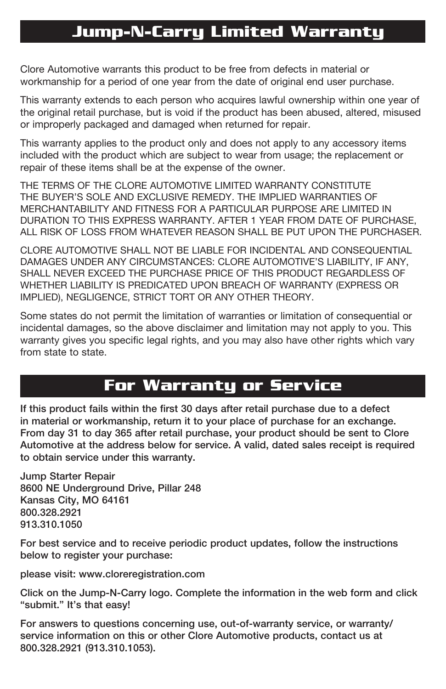### **Jump-N-Carry Limited Warranty**

Clore Automotive warrants this product to be free from defects in material or workmanship for a period of one year from the date of original end user purchase.

This warranty extends to each person who acquires lawful ownership within one year of the original retail purchase, but is void if the product has been abused, altered, misused or improperly packaged and damaged when returned for repair.

This warranty applies to the product only and does not apply to any accessory items included with the product which are subject to wear from usage; the replacement or repair of these items shall be at the expense of the owner.

THE TERMS OF THE CLORE AUTOMOTIVE LIMITED WARRANTY CONSTITUTE THE BUYER'S SOLE AND EXCLUSIVE REMEDY. THE IMPLIED WARRANTIES OF MERCHANTABILITY AND FITNESS FOR A PARTICULAR PURPOSE ARE LIMITED IN DURATION TO THIS EXPRESS WARRANTY. AFTER 1 YEAR FROM DATE OF PURCHASE, ALL RISK OF LOSS FROM WHATEVER REASON SHALL BE PUT UPON THE PURCHASER.

CLORE AUTOMOTIVE SHALL NOT BE LIABLE FOR INCIDENTAL AND CONSEQUENTIAL DAMAGES UNDER ANY CIRCUMSTANCES: CLORE AUTOMOTIVE'S LIABILITY, IF ANY, SHALL NEVER EXCEED THE PURCHASE PRICE OF THIS PRODUCT REGARDLESS OF WHETHER LIABILITY IS PREDICATED UPON BREACH OF WARRANTY (EXPRESS OR IMPLIED), NEGLIGENCE, STRICT TORT OR ANY OTHER THEORY.

Some states do not permit the limitation of warranties or limitation of consequential or incidental damages, so the above disclaimer and limitation may not apply to you. This warranty gives you specific legal rights, and you may also have other rights which vary from state to state.

## **For Warranty or Service**

If this product fails within the first 30 days after retail purchase due to a defect in material or workmanship, return it to your place of purchase for an exchange. From day 31 to day 365 after retail purchase, your product should be sent to Clore Automotive at the address below for service. A valid, dated sales receipt is required to obtain service under this warranty.

Jump Starter Repair 8600 NE Underground Drive, Pillar 248 Kansas City, MO 64161 800.328.2921 913.310.1050

For best service and to receive periodic product updates, follow the instructions below to register your purchase:

please visit: www.cloreregistration.com

Click on the Jump-N-Carry logo. Complete the information in the web form and click "submit." It's that easy!

For answers to questions concerning use, out-of-warranty service, or warranty/ service information on this or other Clore Automotive products, contact us at 800.328.2921 (913.310.1053).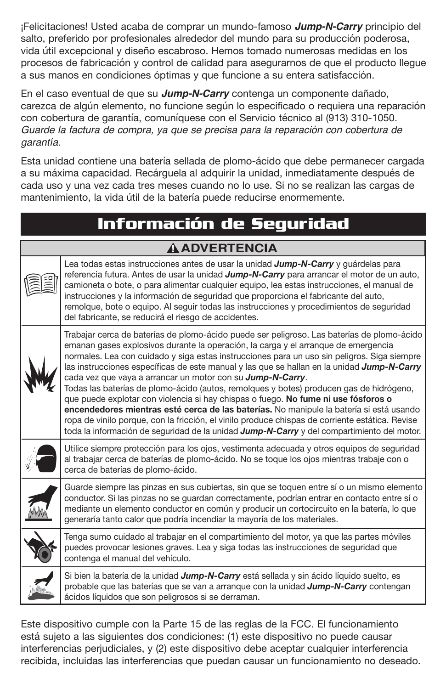¡Felicitaciones! Usted acaba de comprar un mundo-famoso **Jump-N-Carry** principio del salto, preferido por profesionales alrededor del mundo para su producción poderosa, vida útil excepcional y diseño escabroso. Hemos tomado numerosas medidas en los procesos de fabricación y control de calidad para asegurarnos de que el producto llegue a sus manos en condiciones óptimas y que funcione a su entera satisfacción.

En el caso eventual de que su **Jump-N-Carry** contenga un componente dañado, carezca de algún elemento, no funcione según lo especificado o requiera una reparación con cobertura de garantía, comuníquese con el Servicio técnico al (913) 310-1050. Guarde la factura de compra, ya que se precisa para la reparación con cobertura de garantía.

Esta unidad contiene una batería sellada de plomo-ácido que debe permanecer cargada a su máxima capacidad. Recárguela al adquirir la unidad, inmediatamente después de cada uso y una vez cada tres meses cuando no lo use. Si no se realizan las cargas de mantenimiento, la vida útil de la batería puede reducirse enormemente.

| Información de Seguridad |                                                                                                                                                                                                                                                                                                                                                                                                                                                                                                                                                                                                                                                                                                                                                                                                                                                                                                                                        |  |  |  |
|--------------------------|----------------------------------------------------------------------------------------------------------------------------------------------------------------------------------------------------------------------------------------------------------------------------------------------------------------------------------------------------------------------------------------------------------------------------------------------------------------------------------------------------------------------------------------------------------------------------------------------------------------------------------------------------------------------------------------------------------------------------------------------------------------------------------------------------------------------------------------------------------------------------------------------------------------------------------------|--|--|--|
| <b>AADVERTENCIA</b>      |                                                                                                                                                                                                                                                                                                                                                                                                                                                                                                                                                                                                                                                                                                                                                                                                                                                                                                                                        |  |  |  |
|                          | Lea todas estas instrucciones antes de usar la unidad <b>Jump-N-Carry</b> y quárdelas para<br>referencia futura. Antes de usar la unidad <b>Jump-N-Carry</b> para arrancar el motor de un auto,<br>camioneta o bote, o para alimentar cualquier equipo, lea estas instrucciones, el manual de<br>instrucciones y la información de seguridad que proporciona el fabricante del auto,<br>remolque, bote o equipo. Al sequir todas las instrucciones y procedimientos de sequridad<br>del fabricante, se reducirá el riesgo de accidentes.                                                                                                                                                                                                                                                                                                                                                                                               |  |  |  |
|                          | Trabajar cerca de baterías de plomo-ácido puede ser peligroso. Las baterías de plomo-ácido<br>emanan gases explosivos durante la operación, la carga y el arranque de emergencia<br>normales. Lea con cuidado y siga estas instrucciones para un uso sin peligros. Siga siempre<br>las instrucciones específicas de este manual y las que se hallan en la unidad <b>Jump-N-Carry</b><br>cada vez que vaya a arrancar un motor con su Jump-N-Carry.<br>Todas las baterías de plomo-ácido (autos, remolques y botes) producen gas de hidrógeno,<br>que puede explotar con violencia si hay chispas o fuego. No fume ni use fósforos o<br>encendedores mientras esté cerca de las baterías. No manipule la batería si está usando<br>ropa de vinilo porque, con la fricción, el vinilo produce chispas de corriente estática. Revise<br>toda la información de seguridad de la unidad <b>Jump-N-Carry</b> y del compartimiento del motor. |  |  |  |
|                          | Utilice siempre protección para los ojos, vestimenta adecuada y otros equipos de seguridad<br>al trabajar cerca de baterías de plomo-ácido. No se toque los ojos mientras trabaje con o<br>cerca de baterías de plomo-ácido.                                                                                                                                                                                                                                                                                                                                                                                                                                                                                                                                                                                                                                                                                                           |  |  |  |
|                          | Guarde siempre las pinzas en sus cubiertas, sin que se toquen entre sí o un mismo elemento<br>conductor. Si las pinzas no se guardan correctamente, podrían entrar en contacto entre sí o<br>mediante un elemento conductor en común y producir un cortocircuito en la batería, lo que<br>generaría tanto calor que podría incendiar la mayoría de los materiales.                                                                                                                                                                                                                                                                                                                                                                                                                                                                                                                                                                     |  |  |  |
|                          | Tenga sumo cuidado al trabajar en el compartimiento del motor, ya que las partes móviles<br>puedes provocar lesiones graves. Lea y siga todas las instrucciones de seguridad que<br>contenga el manual del vehículo.                                                                                                                                                                                                                                                                                                                                                                                                                                                                                                                                                                                                                                                                                                                   |  |  |  |
|                          | Si bien la batería de la unidad Jump-N-Carry está sellada y sin ácido líquido suelto, es<br>probable que las baterías que se van a arranque con la unidad <b>Jump-N-Carry</b> contengan<br>ácidos líquidos que son peligrosos si se derraman.                                                                                                                                                                                                                                                                                                                                                                                                                                                                                                                                                                                                                                                                                          |  |  |  |

Este dispositivo cumple con la Parte 15 de las reglas de la FCC. El funcionamiento está sujeto a las siguientes dos condiciones: (1) este dispositivo no puede causar interferencias perjudiciales, y (2) este dispositivo debe aceptar cualquier interferencia recibida, incluidas las interferencias que puedan causar un funcionamiento no deseado.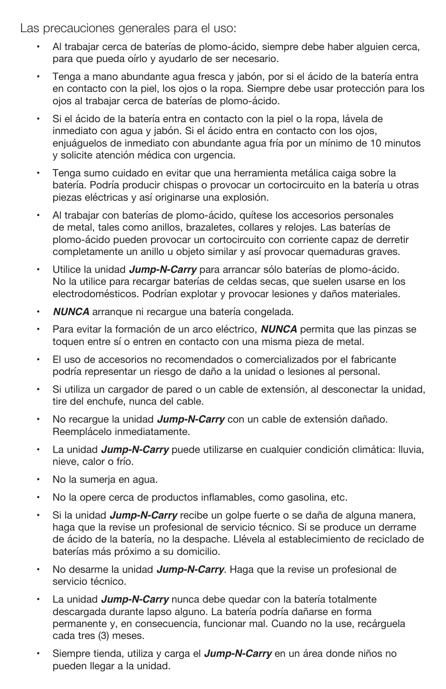Las precauciones generales para el uso:

- Al trabajar cerca de baterías de plomo-ácido, siempre debe haber alguien cerca, para que pueda oírlo y ayudarlo de ser necesario.
- Tenga a mano abundante agua fresca y jabón, por si el ácido de la batería entra en contacto con la piel, los ojos o la ropa. Siempre debe usar protección para los ojos al trabajar cerca de baterías de plomo-ácido.
- Si el ácido de la batería entra en contacto con la piel o la ropa, lávela de inmediato con agua y jabón. Si el ácido entra en contacto con los ojos, enjuáguelos de inmediato con abundante agua fría por un mínimo de 10 minutos y solicite atención médica con urgencia.
- Tenga sumo cuidado en evitar que una herramienta metálica caiga sobre la batería. Podría producir chispas o provocar un cortocircuito en la batería u otras piezas eléctricas y así originarse una explosión.
- Al trabajar con baterías de plomo-ácido, quítese los accesorios personales de metal, tales como anillos, brazaletes, collares y relojes. Las baterías de plomo-ácido pueden provocar un cortocircuito con corriente capaz de derretir completamente un anillo u objeto similar y así provocar quemaduras graves.
- Utilice la unidad **Jump-N-Carry** para arrancar sólo baterías de plomo-ácido. No la utilice para recargar baterías de celdas secas, que suelen usarse en los electrodomésticos. Podrían explotar y provocar lesiones y daños materiales.
- **NUNCA** arranque ni recargue una batería congelada.
- Para evitar la formación de un arco eléctrico, **NUNCA** permita que las pinzas se toquen entre sí o entren en contacto con una misma pieza de metal.
- El uso de accesorios no recomendados o comercializados por el fabricante podría representar un riesgo de daño a la unidad o lesiones al personal.
- Si utiliza un cargador de pared o un cable de extensión, al desconectar la unidad, tire del enchufe, nunca del cable.
- No recargue la unidad **Jump-N-Carry** con un cable de extensión dañado. Reemplácelo inmediatamente.
- La unidad *Jump-N-Carry* puede utilizarse en cualquier condición climática: lluvia, nieve, calor o frío.
- No la sumerja en agua.
- No la opere cerca de productos inflamables, como gasolina, etc.
- Si la unidad **Jump-N-Carry** recibe un golpe fuerte o se daña de alguna manera, haga que la revise un profesional de servicio técnico. Si se produce un derrame de ácido de la batería, no la despache. Llévela al establecimiento de reciclado de baterías más próximo a su domicilio.
- No desarme la unidad **Jump-N-Carry**. Haga que la revise un profesional de servicio técnico.
- La unidad **Jump-N-Carry** nunca debe quedar con la batería totalmente descargada durante lapso alguno. La batería podría dañarse en forma permanente y, en consecuencia, funcionar mal. Cuando no la use, recárguela cada tres (3) meses.
- Siempre tienda, utiliza y carga el **Jump-N-Carry** en un área donde niños no pueden llegar a la unidad.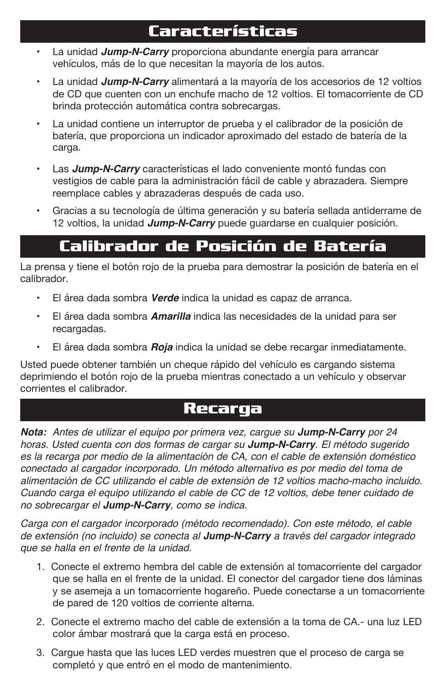## **Características**

- La unidad **Jump-N-Carry** proporciona abundante energía para arrancar vehículos, más de lo que necesitan la mayoría de los autos.
- La unidad **Jump-N-Carry** alimentará a la mayoría de los accesorios de 12 voltios de CD que cuenten con un enchufe macho de 12 voltios. El tomacorriente de CD brinda protección automática contra sobrecargas.
- La unidad contiene un interruptor de prueba y el calibrador de la posición de batería, que proporciona un indicador aproximado del estado de batería de la carga.
- Las **Jump-N-Carry** características el lado conveniente montó fundas con vestigios de cable para la administración fácil de cable y abrazadera. Siempre reemplace cables y abrazaderas después de cada uso.
- Gracias a su tecnología de última generación y su batería sellada antiderrame de 12 voltios, la unidad **Jump-N-Carry** puede guardarse en cualquier posición.

# **Calibrador de Posición de Batería**

La prensa y tiene el botón rojo de la prueba para demostrar la posición de batería en el calibrador.

- El área dada sombra **Verde** indica la unidad es capaz de arranca.
- El área dada sombra **Amarilla** indica las necesidades de la unidad para ser recargadas.
- El área dada sombra **Roja** indica la unidad se debe recargar inmediatamente.

Usted puede obtener también un cheque rápido del vehículo es cargando sistema deprimiendo el botón rojo de la prueba mientras conectado a un vehículo y observar corrientes el calibrador.

#### **Recarga**

**Nota:** Antes de utilizar el equipo por primera vez, cargue su **Jump-N-Carry** por 24 horas. Usted cuenta con dos formas de cargar su **Jump-N-Carry**. El método sugerido es la recarga por medio de la alimentación de CA, con el cable de extensión doméstico conectado al cargador incorporado. Un método alternativo es por medio del toma de alimentación de CC utilizando el cable de extensión de 12 voltios macho-macho incluido. Cuando carga el equipo utilizando el cable de CC de 12 voltios, debe tener cuidado de no sobrecargar el **Jump-N-Carry**, como se indica.

Carga con el cargador incorporado (método recomendado). Con este método, el cable de extensión (no incluido) se conecta al **Jump-N-Carry** a través del cargador integrado que se halla en el frente de la unidad.

- 1. Conecte el extremo hembra del cable de extensión al tomacorriente del cargador que se halla en el frente de la unidad. El conector del cargador tiene dos láminas y se asemeja a un tomacorriente hogareño. Puede conectarse a un tomacorriente de pared de 120 voltios de corriente alterna.
- 2. Conecte el extremo macho del cable de extensión a la toma de CA.- una luz LED color ámbar mostrará que la carga está en proceso.
- 3. Cargue hasta que las luces LED verdes muestren que el proceso de carga se completó y que entró en el modo de mantenimiento.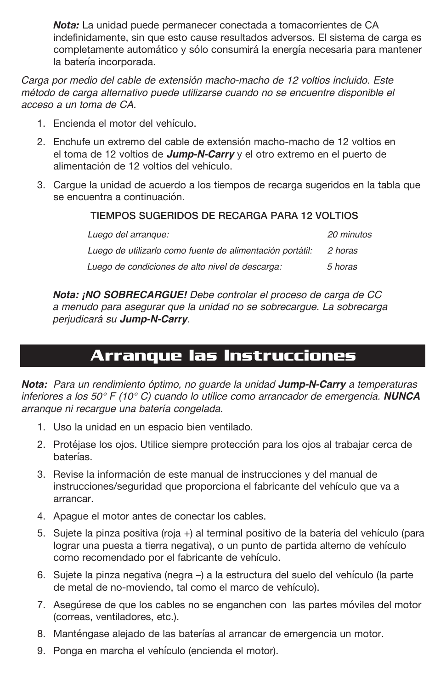*Nota:* La unidad puede permanecer conectada a tomacorrientes de CA indefinidamente, sin que esto cause resultados adversos. El sistema de carga es completamente automático y sólo consumirá la energía necesaria para mantener la batería incorporada.

Carga por medio del cable de extensión macho-macho de 12 voltios incluido. Este método de carga alternativo puede utilizarse cuando no se encuentre disponible el acceso a un toma de CA.

- 1. Encienda el motor del vehículo.
- 2. Enchufe un extremo del cable de extensión macho-macho de 12 voltios en el toma de 12 voltios de **Jump-N-Carry** y el otro extremo en el puerto de alimentación de 12 voltios del vehículo.
- 3. Cargue la unidad de acuerdo a los tiempos de recarga sugeridos en la tabla que se encuentra a continuación.

#### TIEMPOS SUGERIDOS DE RECARGA PARA 12 VOLTIOS

| Luego del arrangue:                                       | 20 minutos |
|-----------------------------------------------------------|------------|
| Luego de utilizarlo como fuente de alimentación portátil: | 2 horas    |
| Luego de condiciones de alto nivel de descarga:           | 5 horas    |

**Nota: ¡NO SOBRECARGUE!** Debe controlar el proceso de carga de CC a menudo para asegurar que la unidad no se sobrecargue. La sobrecarga perjudicará su **Jump-N-Carry**.

## **Arranque las Instrucciones**

**Nota:** Para un rendimiento óptimo, no guarde la unidad **Jump-N-Carry** a temperaturas inferiores a los 50° F (10° C) cuando lo utilice como arrancador de emergencia. **NUNCA** arranque ni recargue una batería congelada.

- 1. Uso la unidad en un espacio bien ventilado.
- 2. Protéjase los ojos. Utilice siempre protección para los ojos al trabajar cerca de baterías.
- 3. Revise la información de este manual de instrucciones y del manual de instrucciones/seguridad que proporciona el fabricante del vehículo que va a arrancar.
- 4. Apague el motor antes de conectar los cables.
- 5. Sujete la pinza positiva (roja +) al terminal positivo de la batería del vehículo (para lograr una puesta a tierra negativa), o un punto de partida alterno de vehículo como recomendado por el fabricante de vehículo.
- 6. Sujete la pinza negativa (negra –) a la estructura del suelo del vehículo (la parte de metal de no-moviendo, tal como el marco de vehículo).
- 7. Asegúrese de que los cables no se enganchen con las partes móviles del motor (correas, ventiladores, etc.).
- 8. Manténgase alejado de las baterías al arrancar de emergencia un motor.
- 9. Ponga en marcha el vehículo (encienda el motor).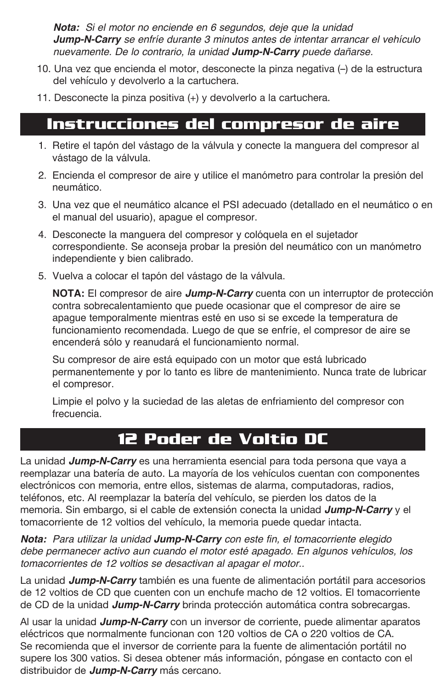**Nota:** Si el motor no enciende en 6 segundos, deje que la unidad **Jump-N-Carry** se enfríe durante 3 minutos antes de intentar arrancar el vehículo nuevamente. De lo contrario, la unidad **Jump-N-Carry** puede dañarse.

- 10. Una vez que encienda el motor, desconecte la pinza negativa (-) de la estructura del vehículo y devolverlo a la cartuchera.
- 11. Desconecte la pinza positiva (+) y devolverlo a la cartuchera.

#### **Instrucciones del compresor de aire**

- 1. Retire el tapón del vástago de la válvula y conecte la manguera del compresor al vástago de la válvula.
- 2. Encienda el compresor de aire y utilice el manómetro para controlar la presión del neumático.
- 3. Una vez que el neumático alcance el PSI adecuado (detallado en el neumático o en el manual del usuario), apague el compresor.
- 4. Desconecte la manguera del compresor y colóquela en el sujetador correspondiente. Se aconseja probar la presión del neumático con un manómetro independiente y bien calibrado.
- 5. Vuelva a colocar el tapón del vástago de la válvula.

**NOTA:** El compresor de aire **Jump-N-Carry** cuenta con un interruptor de protección contra sobrecalentamiento que puede ocasionar que el compresor de aire se apague temporalmente mientras esté en uso si se excede la temperatura de funcionamiento recomendada. Luego de que se enfríe, el compresor de aire se encenderá sólo y reanudará el funcionamiento normal.

 Su compresor de aire está equipado con un motor que está lubricado permanentemente y por lo tanto es libre de mantenimiento. Nunca trate de lubricar el compresor.

 Limpie el polvo y la suciedad de las aletas de enfriamiento del compresor con frecuencia.

### **12 Poder de Voltio DC**

La unidad **Jump-N-Carry** es una herramienta esencial para toda persona que vaya a reemplazar una batería de auto. La mayoría de los vehículos cuentan con componentes electrónicos con memoria, entre ellos, sistemas de alarma, computadoras, radios, teléfonos, etc. Al reemplazar la batería del vehículo, se pierden los datos de la memoria. Sin embargo, si el cable de extensión conecta la unidad **Jump-N-Carry** y el tomacorriente de 12 voltios del vehículo, la memoria puede quedar intacta.

**Nota:** Para utilizar la unidad **Jump-N-Carry** con este fin, el tomacorriente elegido debe permanecer activo aun cuando el motor esté apagado. En algunos vehículos, los tomacorrientes de 12 voltios se desactivan al apagar el motor..

La unidad **Jump-N-Carry** también es una fuente de alimentación portátil para accesorios de 12 voltios de CD que cuenten con un enchufe macho de 12 voltios. El tomacorriente de CD de la unidad **Jump-N-Carry** brinda protección automática contra sobrecargas.

Al usar la unidad **Jump-N-Carry** con un inversor de corriente, puede alimentar aparatos eléctricos que normalmente funcionan con 120 voltios de CA o 220 voltios de CA. Se recomienda que el inversor de corriente para la fuente de alimentación portátil no supere los 300 vatios. Si desea obtener más información, póngase en contacto con el distribuidor de **Jump-N-Carry** más cercano.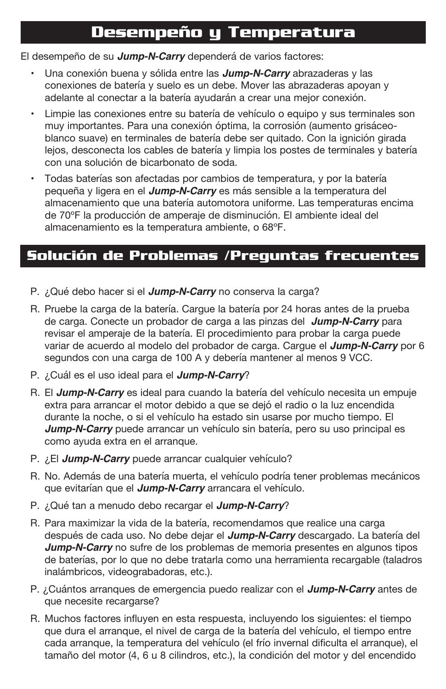### **Desempeño y Temperatura**

El desempeño de su **Jump-N-Carry** dependerá de varios factores:

- Una conexión buena y sólida entre las **Jump-N-Carry** abrazaderas y las conexiones de batería y suelo es un debe. Mover las abrazaderas apoyan y adelante al conectar a la batería ayudarán a crear una mejor conexión.
- Limpie las conexiones entre su batería de vehículo o equipo y sus terminales son muy importantes. Para una conexión óptima, la corrosión (aumento grisáceoblanco suave) en terminales de batería debe ser quitado. Con la ignición girada lejos, desconecta los cables de batería y limpia los postes de terminales y batería con una solución de bicarbonato de soda.
- Todas baterías son afectadas por cambios de temperatura, y por la batería pequeña y ligera en el **Jump-N-Carry** es más sensible a la temperatura del almacenamiento que una batería automotora uniforme. Las temperaturas encima de 70ºF la producción de amperaje de disminución. El ambiente ideal del almacenamiento es la temperatura ambiente, o 68ºF.

#### **Solución de Problemas /Preguntas frecuentes**

- P. ¿Qué debo hacer si el **Jump-N-Carry** no conserva la carga?
- R. Pruebe la carga de la batería. Cargue la batería por 24 horas antes de la prueba de carga. Conecte un probador de carga a las pinzas del **Jump-N-Carry** para revisar el amperaje de la batería. El procedimiento para probar la carga puede variar de acuerdo al modelo del probador de carga. Cargue el **Jump-N-Carry** por 6 segundos con una carga de 100 A y debería mantener al menos 9 VCC.
- P. ¿Cuál es el uso ideal para el **Jump-N-Carry**?
- R. El **Jump-N-Carry** es ideal para cuando la batería del vehículo necesita un empuje extra para arrancar el motor debido a que se dejó el radio o la luz encendida durante la noche, o si el vehículo ha estado sin usarse por mucho tiempo. El **Jump-N-Carry** puede arrancar un vehículo sin batería, pero su uso principal es como ayuda extra en el arranque.
- P. ¿El **Jump-N-Carry** puede arrancar cualquier vehículo?
- R. No. Además de una batería muerta, el vehículo podría tener problemas mecánicos que evitarían que el **Jump-N-Carry** arrancara el vehículo.
- P. ¿Qué tan a menudo debo recargar el **Jump-N-Carry**?
- R. Para maximizar la vida de la batería, recomendamos que realice una carga después de cada uso. No debe dejar el **Jump-N-Carry** descargado. La batería del **Jump-N-Carry** no sufre de los problemas de memoria presentes en algunos tipos de baterías, por lo que no debe tratarla como una herramienta recargable (taladros inalámbricos, videograbadoras, etc.).
- P. ¿Cuántos arranques de emergencia puedo realizar con el **Jump-N-Carry** antes de que necesite recargarse?
- R. Muchos factores influyen en esta respuesta, incluyendo los siguientes: el tiempo que dura el arranque, el nivel de carga de la batería del vehículo, el tiempo entre cada arranque, la temperatura del vehículo (el frío invernal dificulta el arranque), el tamaño del motor (4, 6 u 8 cilindros, etc.), la condición del motor y del encendido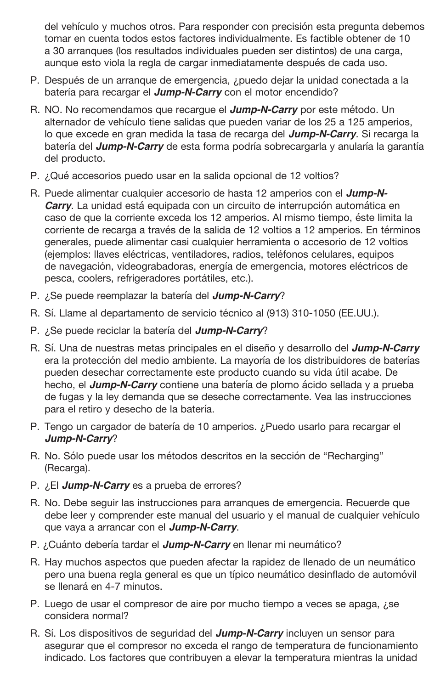del vehículo y muchos otros. Para responder con precisión esta pregunta debemos tomar en cuenta todos estos factores individualmente. Es factible obtener de 10 a 30 arranques (los resultados individuales pueden ser distintos) de una carga, aunque esto viola la regla de cargar inmediatamente después de cada uso.

- P. Después de un arranque de emergencia, ¿puedo dejar la unidad conectada a la batería para recargar el **Jump-N-Carry** con el motor encendido?
- R. NO. No recomendamos que recarque el **Jump-N-Carry** por este método. Un alternador de vehículo tiene salidas que pueden variar de los 25 a 125 amperios, lo que excede en gran medida la tasa de recarga del **Jump-N-Carry**. Si recarga la batería del **Jump-N-Carry** de esta forma podría sobrecargarla y anularía la garantía del producto.
- P. ¿Qué accesorios puedo usar en la salida opcional de 12 voltios?
- R. Puede alimentar cualquier accesorio de hasta 12 amperios con el **Jump-N-Carry**. La unidad está equipada con un circuito de interrupción automática en caso de que la corriente exceda los 12 amperios. Al mismo tiempo, éste limita la corriente de recarga a través de la salida de 12 voltios a 12 amperios. En términos generales, puede alimentar casi cualquier herramienta o accesorio de 12 voltios (ejemplos: llaves eléctricas, ventiladores, radios, teléfonos celulares, equipos de navegación, videograbadoras, energía de emergencia, motores eléctricos de pesca, coolers, refrigeradores portátiles, etc.).
- P. ¿Se puede reemplazar la batería del **Jump-N-Carry**?
- R. Sí. Llame al departamento de servicio técnico al (913) 310-1050 (EE.UU.).
- P. ¿Se puede reciclar la batería del **Jump-N-Carry**?
- R. Sí. Una de nuestras metas principales en el diseño y desarrollo del **Jump-N-Carry** era la protección del medio ambiente. La mayoría de los distribuidores de baterías pueden desechar correctamente este producto cuando su vida útil acabe. De hecho, el **Jump-N-Carry** contiene una batería de plomo ácido sellada y a prueba de fugas y la ley demanda que se deseche correctamente. Vea las instrucciones para el retiro y desecho de la batería.
- P. Tengo un cargador de batería de 10 amperios. ¿Puedo usarlo para recargar el **Jump-N-Carry**?
- R. No. Sólo puede usar los métodos descritos en la sección de "Recharging" (Recarga).
- P. ¿El **Jump-N-Carry** es a prueba de errores?
- R. No. Debe seguir las instrucciones para arranques de emergencia. Recuerde que debe leer y comprender este manual del usuario y el manual de cualquier vehículo que vaya a arrancar con el **Jump-N-Carry**.
- P. ¿Cuánto debería tardar el **Jump-N-Carry** en llenar mi neumático?
- R. Hay muchos aspectos que pueden afectar la rapidez de llenado de un neumático pero una buena regla general es que un típico neumático desinflado de automóvil se llenará en 4-7 minutos.
- P. Luego de usar el compresor de aire por mucho tiempo a veces se apaga, ¿se considera normal?
- R. Sí. Los dispositivos de seguridad del **Jump-N-Carry** incluyen un sensor para asegurar que el compresor no exceda el rango de temperatura de funcionamiento indicado. Los factores que contribuyen a elevar la temperatura mientras la unidad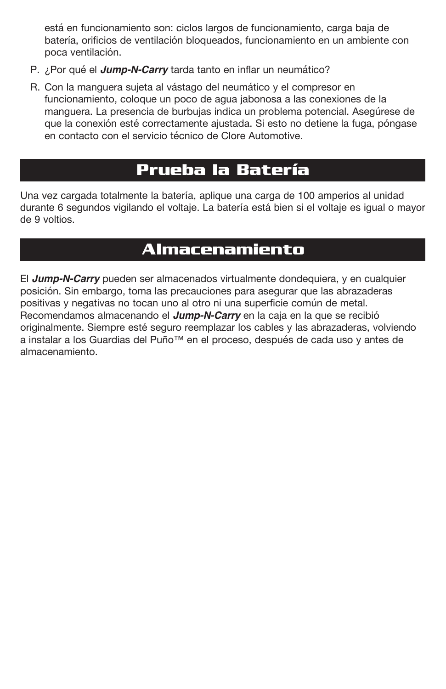está en funcionamiento son: ciclos largos de funcionamiento, carga baja de batería, orificios de ventilación bloqueados, funcionamiento en un ambiente con poca ventilación.

- P. ¿Por qué el **Jump-N-Carry** tarda tanto en inflar un neumático?
- R. Con la manguera sujeta al vástago del neumático y el compresor en funcionamiento, coloque un poco de agua jabonosa a las conexiones de la manguera. La presencia de burbujas indica un problema potencial. Asegúrese de que la conexión esté correctamente ajustada. Si esto no detiene la fuga, póngase en contacto con el servicio técnico de Clore Automotive.

### **Prueba la Batería**

Una vez cargada totalmente la batería, aplique una carga de 100 amperios al unidad durante 6 segundos vigilando el voltaje. La batería está bien si el voltaje es igual o mayor de 9 voltios.

### **Almacenamiento**

El **Jump-N-Carry** pueden ser almacenados virtualmente dondequiera, y en cualquier posición. Sin embargo, toma las precauciones para asegurar que las abrazaderas positivas y negativas no tocan uno al otro ni una superficie común de metal. Recomendamos almacenando el **Jump-N-Carry** en la caja en la que se recibió originalmente. Siempre esté seguro reemplazar los cables y las abrazaderas, volviendo a instalar a los Guardias del Puño™ en el proceso, después de cada uso y antes de almacenamiento.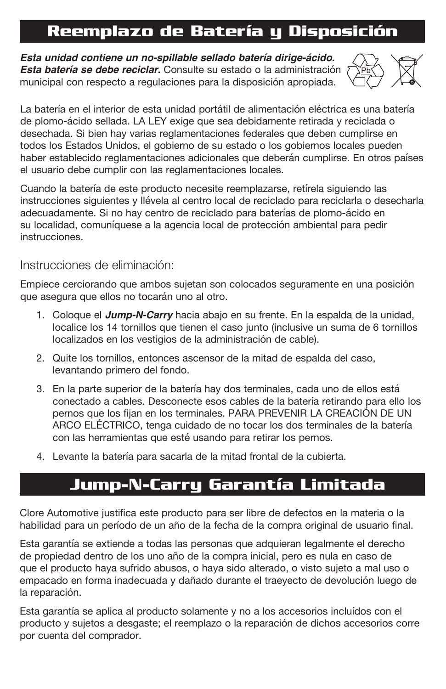# **Reemplazo de Batería y Disposición**

**Esta unidad contiene un no-spillable sellado batería dirige-ácido. Esta batería se debe reciclar.** Consulte su estado o la administración municipal con respecto a regulaciones para la disposición apropiada.



La batería en el interior de esta unidad portátil de alimentación eléctrica es una batería de plomo-ácido sellada. LA LEY exige que sea debidamente retirada y reciclada o desechada. Si bien hay varias reglamentaciones federales que deben cumplirse en todos los Estados Unidos, el gobierno de su estado o los gobiernos locales pueden haber establecido reglamentaciones adicionales que deberán cumplirse. En otros países el usuario debe cumplir con las reglamentaciones locales.

Cuando la batería de este producto necesite reemplazarse, retírela siguiendo las instrucciones siguientes y llévela al centro local de reciclado para reciclarla o desecharla adecuadamente. Si no hay centro de reciclado para baterías de plomo-ácido en su localidad, comuníquese a la agencia local de protección ambiental para pedir instrucciones.

#### Instrucciones de eliminación:

Empiece cerciorando que ambos sujetan son colocados seguramente en una posición que asegura que ellos no tocarán uno al otro.

- 1. Coloque el **Jump-N-Carry** hacia abajo en su frente. En la espalda de la unidad, localice los 14 tornillos que tienen el caso junto (inclusive un suma de 6 tornillos localizados en los vestigios de la administración de cable).
- 2. Quite los tornillos, entonces ascensor de la mitad de espalda del caso, levantando primero del fondo.
- 3. En la parte superior de la batería hay dos terminales, cada uno de ellos está conectado a cables. Desconecte esos cables de la batería retirando para ello los pernos que los fijan en los terminales. PARA PREVENIR LA CREACIÓN DE UN ARCO ELÉCTRICO, tenga cuidado de no tocar los dos terminales de la batería con las herramientas que esté usando para retirar los pernos.
- 4. Levante la batería para sacarla de la mitad frontal de la cubierta.

### **Jump-N-Carry Garantía Limitada**

Clore Automotive justifica este producto para ser libre de defectos en la materia o la habilidad para un período de un año de la fecha de la compra original de usuario final.

Esta garantía se extiende a todas las personas que adquieran legalmente el derecho de propiedad dentro de los uno año de la compra inicial, pero es nula en caso de que el producto haya sufrido abusos, o haya sido alterado, o visto sujeto a mal uso o empacado en forma inadecuada y dañado durante el traeyecto de devolución luego de la reparación.

Esta garantía se aplica al producto solamente y no a los accesorios incluídos con el producto y sujetos a desgaste; el reemplazo o la reparación de dichos accesorios corre por cuenta del comprador.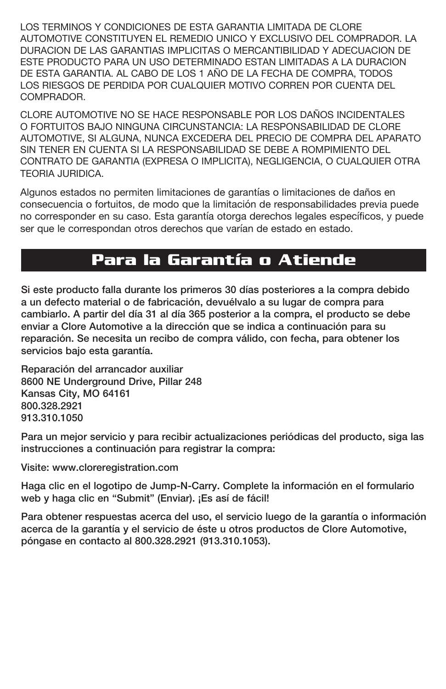LOS TERMINOS Y CONDICIONES DE ESTA GARANTIA LIMITADA DE CLORE AUTOMOTIVE CONSTITUYEN EL REMEDIO UNICO Y EXCLUSIVO DEL COMPRADOR. LA DURACION DE LAS GARANTIAS IMPLICITAS O MERCANTIBILIDAD Y ADECUACION DE ESTE PRODUCTO PARA UN USO DETERMINADO ESTAN LIMITADAS A LA DURACION DE ESTA GARANTIA. AL CABO DE LOS 1 AÑO DE LA FECHA DE COMPRA, TODOS LOS RIESGOS DE PERDIDA POR CUALQUIER MOTIVO CORREN POR CUENTA DEL COMPRADOR.

CLORE AUTOMOTIVE NO SE HACE RESPONSABLE POR LOS DAÑOS INCIDENTALES O FORTUITOS BAJO NINGUNA CIRCUNSTANCIA: LA RESPONSABILIDAD DE CLORE AUTOMOTIVE, SI ALGUNA, NUNCA EXCEDERA DEL PRECIO DE COMPRA DEL APARATO SIN TENER EN CUENTA SI LA RESPONSABILIDAD SE DEBE A ROMPIMIENTO DEL CONTRATO DE GARANTIA (EXPRESA O IMPLICITA), NEGLIGENCIA, O CUALQUIER OTRA TEORIA JURIDICA.

Algunos estados no permiten limitaciones de garantías o limitaciones de daños en consecuencia o fortuitos, de modo que la limitación de responsabilidades previa puede no corresponder en su caso. Esta garantía otorga derechos legales específicos, y puede ser que le correspondan otros derechos que varían de estado en estado.

### **Para la Garantía o Atiende**

Si este producto falla durante los primeros 30 días posteriores a la compra debido a un defecto material o de fabricación, devuélvalo a su lugar de compra para cambiarlo. A partir del día 31 al día 365 posterior a la compra, el producto se debe enviar a Clore Automotive a la dirección que se indica a continuación para su reparación. Se necesita un recibo de compra válido, con fecha, para obtener los servicios bajo esta garantía.

Reparación del arrancador auxiliar 8600 NE Underground Drive, Pillar 248 Kansas City, MO 64161 800.328.2921 913.310.1050

Para un mejor servicio y para recibir actualizaciones periódicas del producto, siga las instrucciones a continuación para registrar la compra:

Visite: www.cloreregistration.com

Haga clic en el logotipo de Jump-N-Carry. Complete la información en el formulario web y haga clic en "Submit" (Enviar). ¡Es así de fácil!

Para obtener respuestas acerca del uso, el servicio luego de la garantía o información acerca de la garantía y el servicio de éste u otros productos de Clore Automotive, póngase en contacto al 800.328.2921 (913.310.1053).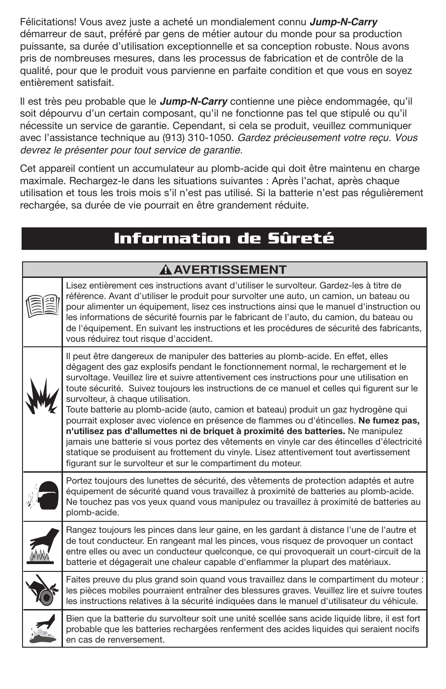Félicitations! Vous avez juste a acheté un mondialement connu **Jump-N-Carry** démarreur de saut, préféré par gens de métier autour du monde pour sa production puissante, sa durée d'utilisation exceptionnelle et sa conception robuste. Nous avons pris de nombreuses mesures, dans les processus de fabrication et de contrôle de la qualité, pour que le produit vous parvienne en parfaite condition et que vous en soyez entièrement satisfait.

Il est très peu probable que le **Jump-N-Carry** contienne une pièce endommagée, qu'il soit dépourvu d'un certain composant, qu'il ne fonctionne pas tel que stipulé ou qu'il nécessite un service de garantie. Cependant, si cela se produit, veuillez communiquer avec l'assistance technique au (913) 310-1050. Gardez précieusement votre reçu. Vous devrez le présenter pour tout service de garantie.

Cet appareil contient un accumulateur au plomb-acide qui doit être maintenu en charge maximale. Rechargez-le dans les situations suivantes : Après l'achat, après chaque utilisation et tous les trois mois s'il n'est pas utilisé. Si la batterie n'est pas régulièrement rechargée, sa durée de vie pourrait en être grandement réduite.

### **Information de Sûreté**

| <b>AAVERTISSEMENT</b> |                                                                                                                                                                                                                                                                                                                                                                                                                                                                                                                                                                                                                                                                                                                                                                                                                                                                                                                                         |  |
|-----------------------|-----------------------------------------------------------------------------------------------------------------------------------------------------------------------------------------------------------------------------------------------------------------------------------------------------------------------------------------------------------------------------------------------------------------------------------------------------------------------------------------------------------------------------------------------------------------------------------------------------------------------------------------------------------------------------------------------------------------------------------------------------------------------------------------------------------------------------------------------------------------------------------------------------------------------------------------|--|
|                       | Lisez entièrement ces instructions avant d'utiliser le survolteur. Gardez-les à titre de<br>référence. Avant d'utiliser le produit pour survolter une auto, un camion, un bateau ou<br>pour alimenter un équipement, lisez ces instructions ainsi que le manuel d'instruction ou<br>les informations de sécurité fournis par le fabricant de l'auto, du camion, du bateau ou<br>de l'équipement. En suivant les instructions et les procédures de sécurité des fabricants,<br>vous réduirez tout risque d'accident.                                                                                                                                                                                                                                                                                                                                                                                                                     |  |
|                       | Il peut être dangereux de manipuler des batteries au plomb-acide. En effet, elles<br>dégagent des gaz explosifs pendant le fonctionnement normal, le rechargement et le<br>survoltage. Veuillez lire et suivre attentivement ces instructions pour une utilisation en<br>toute sécurité. Suivez toujours les instructions de ce manuel et celles qui figurent sur le<br>survolteur, à chaque utilisation.<br>Toute batterie au plomb-acide (auto, camion et bateau) produit un gaz hydrogène qui<br>pourrait exploser avec violence en présence de flammes ou d'étincelles. Ne fumez pas,<br>n'utilisez pas d'allumettes ni de briquet à proximité des batteries. Ne manipulez<br>jamais une batterie si vous portez des vêtements en vinyle car des étincelles d'électricité<br>statique se produisent au frottement du vinyle. Lisez attentivement tout avertissement<br>figurant sur le survolteur et sur le compartiment du moteur. |  |
|                       | Portez toujours des lunettes de sécurité, des vêtements de protection adaptés et autre<br>équipement de sécurité quand vous travaillez à proximité de batteries au plomb-acide.<br>Ne touchez pas vos yeux quand vous manipulez ou travaillez à proximité de batteries au<br>plomb-acide.                                                                                                                                                                                                                                                                                                                                                                                                                                                                                                                                                                                                                                               |  |
|                       | Rangez toujours les pinces dans leur gaine, en les gardant à distance l'une de l'autre et<br>de tout conducteur. En rangeant mal les pinces, vous risquez de provoquer un contact<br>entre elles ou avec un conducteur quelconque, ce qui provoquerait un court-circuit de la<br>batterie et dégagerait une chaleur capable d'enflammer la plupart des matériaux.                                                                                                                                                                                                                                                                                                                                                                                                                                                                                                                                                                       |  |
|                       | Faites preuve du plus grand soin quand vous travaillez dans le compartiment du moteur :<br>les pièces mobiles pourraient entraîner des blessures graves. Veuillez lire et suivre toutes<br>les instructions relatives à la sécurité indiquées dans le manuel d'utilisateur du véhicule.                                                                                                                                                                                                                                                                                                                                                                                                                                                                                                                                                                                                                                                 |  |
|                       | Bien que la batterie du survolteur soit une unité scellée sans acide liquide libre, il est fort<br>probable que les batteries rechargées renferment des acides liquides qui seraient nocifs<br>en cas de renversement.                                                                                                                                                                                                                                                                                                                                                                                                                                                                                                                                                                                                                                                                                                                  |  |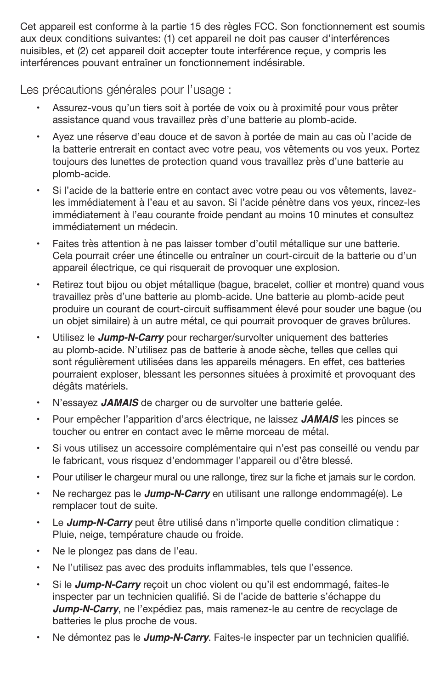Cet appareil est conforme à la partie 15 des règles FCC. Son fonctionnement est soumis aux deux conditions suivantes: (1) cet appareil ne doit pas causer d'interférences nuisibles, et (2) cet appareil doit accepter toute interférence reçue, y compris les interférences pouvant entraîner un fonctionnement indésirable.

Les précautions générales pour l'usage :

- Assurez-vous qu'un tiers soit à portée de voix ou à proximité pour vous prêter assistance quand vous travaillez près d'une batterie au plomb-acide.
- Ayez une réserve d'eau douce et de savon à portée de main au cas où l'acide de la batterie entrerait en contact avec votre peau, vos vêtements ou vos yeux. Portez toujours des lunettes de protection quand vous travaillez près d'une batterie au plomb-acide.
- Si l'acide de la batterie entre en contact avec votre peau ou vos vêtements, lavezles immédiatement à l'eau et au savon. Si l'acide pénètre dans vos yeux, rincez-les immédiatement à l'eau courante froide pendant au moins 10 minutes et consultez immédiatement un médecin.
- Faites très attention à ne pas laisser tomber d'outil métallique sur une batterie. Cela pourrait créer une étincelle ou entraîner un court-circuit de la batterie ou d'un appareil électrique, ce qui risquerait de provoquer une explosion.
- Retirez tout bijou ou objet métallique (bague, bracelet, collier et montre) quand vous travaillez près d'une batterie au plomb-acide. Une batterie au plomb-acide peut produire un courant de court-circuit suffisamment élevé pour souder une bague (ou un objet similaire) à un autre métal, ce qui pourrait provoquer de graves brûlures.
- Utilisez le **Jump-N-Carry** pour recharger/survolter uniquement des batteries au plomb-acide. N'utilisez pas de batterie à anode sèche, telles que celles qui sont régulièrement utilisées dans les appareils ménagers. En effet, ces batteries pourraient exploser, blessant les personnes situées à proximité et provoquant des dégâts matériels.
- N'essayez JAMAIS de charger ou de survolter une batterie gelée.
- Pour empêcher l'apparition d'arcs électrique, ne laissez **JAMAIS** les pinces se toucher ou entrer en contact avec le même morceau de métal.
- Si vous utilisez un accessoire complémentaire qui n'est pas conseillé ou vendu par le fabricant, vous risquez d'endommager l'appareil ou d'être blessé.
- • Pour utiliser le chargeur mural ou une rallonge, tirez sur la fiche et jamais sur le cordon.
- Ne rechargez pas le **Jump-N-Carry** en utilisant une rallonge endommagé(e). Le remplacer tout de suite.
- Le **Jump-N-Carry** peut être utilisé dans n'importe quelle condition climatique : Pluie, neige, température chaude ou froide.
- Ne le plongez pas dans de l'eau.
- Ne l'utilisez pas avec des produits inflammables, tels que l'essence.
- Si le **Jump-N-Carry** recoit un choc violent ou qu'il est endommagé, faites-le inspecter par un technicien qualifié. Si de l'acide de batterie s'échappe du **Jump-N-Carry**, ne l'expédiez pas, mais ramenez-le au centre de recyclage de batteries le plus proche de vous.
- • Ne démontez pas le **Jump-N-Carry**. Faites-le inspecter par un technicien qualifié.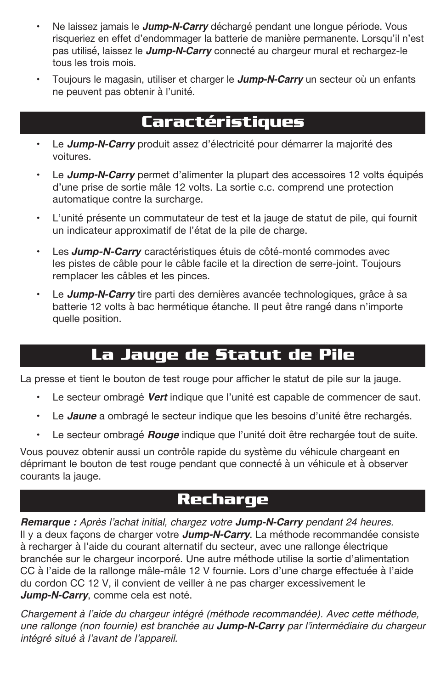- Ne laissez jamais le *Jump-N-Carry* déchargé pendant une longue période. Vous risqueriez en effet d'endommager la batterie de manière permanente. Lorsqu'il n'est pas utilisé, laissez le **Jump-N-Carry** connecté au chargeur mural et rechargez-le tous les trois mois.
- Toujours le magasin, utiliser et charger le **Jump-N-Carry** un secteur où un enfants ne peuvent pas obtenir à l'unité.

### **Caractéristiques**

- Le **Jump-N-Carry** produit assez d'électricité pour démarrer la majorité des voitures.
- Le **Jump-N-Carry** permet d'alimenter la plupart des accessoires 12 volts équipés d'une prise de sortie mâle 12 volts. La sortie c.c. comprend une protection automatique contre la surcharge.
- L'unité présente un commutateur de test et la jauge de statut de pile, qui fournit un indicateur approximatif de l'état de la pile de charge.
- Les **Jump-N-Carry** caractéristiques étuis de côté-monté commodes avec les pistes de câble pour le câble facile et la direction de serre-joint. Toujours remplacer les câbles et les pinces.
- Le **Jump-N-Carry** tire parti des dernières avancée technologiques, grâce à sa batterie 12 volts à bac hermétique étanche. Il peut être rangé dans n'importe quelle position.

### **La Jauge de Statut de Pile**

La presse et tient le bouton de test rouge pour afficher le statut de pile sur la jauge.

- Le secteur ombragé **Vert** indique que l'unité est capable de commencer de saut.
- Le **Jaune** a ombragé le secteur indique que les besoins d'unité être rechargés.
- Le secteur ombragé **Rouge** indique que l'unité doit être rechargée tout de suite.

Vous pouvez obtenir aussi un contrôle rapide du système du véhicule chargeant en déprimant le bouton de test rouge pendant que connecté à un véhicule et à observer courants la jauge.

### **Recharge**

**Remarque :** Après l'achat initial, chargez votre **Jump-N-Carry** pendant 24 heures. Il y a deux façons de charger votre **Jump-N-Carry**. La méthode recommandée consiste à recharger à l'aide du courant alternatif du secteur, avec une rallonge électrique branchée sur le chargeur incorporé. Une autre méthode utilise la sortie d'alimentation CC à l'aide de la rallonge mâle-mâle 12 V fournie. Lors d'une charge effectuée à l'aide du cordon CC 12 V, il convient de veiller à ne pas charger excessivement le **Jump-N-Carry**, comme cela est noté.

Chargement à l'aide du chargeur intégré (méthode recommandée). Avec cette méthode, une rallonge (non fournie) est branchée au **Jump-N-Carry** par l'intermédiaire du chargeur intégré situé à l'avant de l'appareil.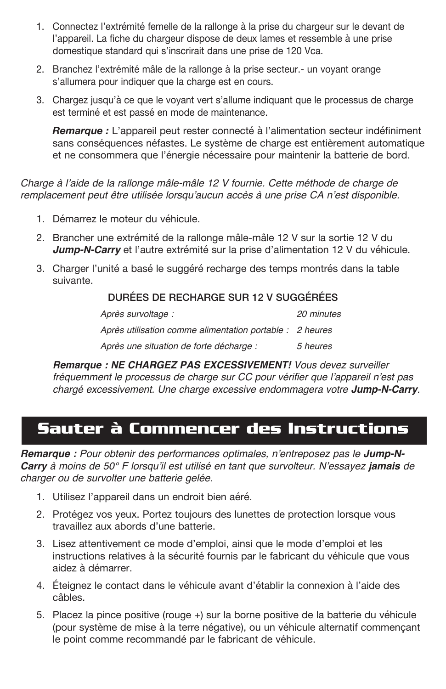- 1. Connectez l'extrémité femelle de la rallonge à la prise du chargeur sur le devant de l'appareil. La fiche du chargeur dispose de deux lames et ressemble à une prise domestique standard qui s'inscrirait dans une prise de 120 Vca.
- 2. Branchez l'extrémité mâle de la rallonge à la prise secteur.- un voyant orange s'allumera pour indiquer que la charge est en cours.
- 3. Chargez jusqu'à ce que le voyant vert s'allume indiquant que le processus de charge est terminé et est passé en mode de maintenance.

*Remarque :* L'appareil peut rester connecté à l'alimentation secteur indéfiniment sans conséquences néfastes. Le système de charge est entièrement automatique et ne consommera que l'énergie nécessaire pour maintenir la batterie de bord.

Charge à l'aide de la rallonge mâle-mâle 12 V fournie. Cette méthode de charge de remplacement peut être utilisée lorsqu'aucun accès à une prise CA n'est disponible.

- 1. Démarrez le moteur du véhicule.
- 2. Brancher une extrémité de la rallonge mâle-mâle 12 V sur la sortie 12 V du **Jump-N-Carry** et l'autre extrémité sur la prise d'alimentation 12 V du véhicule.
- 3. Charger l'unité a basé le suggéré recharge des temps montrés dans la table suivante.

#### DURÉES DE RECHARGE SUR 12 V SUGGÉRÉES

 Après survoltage : 20 minutes Après utilisation comme alimentation portable : 2 heures Après une situation de forte décharge : 5 heures

 **Remarque : NE CHARGEZ PAS EXCESSIVEMENT!** Vous devez surveiller fréquemment le processus de charge sur CC pour vérifier que l'appareil n'est pas chargé excessivement. Une charge excessive endommagera votre **Jump-N-Carry**.

### **Sauter à Commencer des Instructions**

**Remarque :** Pour obtenir des performances optimales, n'entreposez pas le **Jump-N-Carry** à moins de 50° F lorsqu'il est utilisé en tant que survolteur. N'essayez **jamais** de charger ou de survolter une batterie gelée.

- 1. Utilisez l'appareil dans un endroit bien aéré.
- 2. Protégez vos yeux. Portez toujours des lunettes de protection lorsque vous travaillez aux abords d'une batterie.
- 3. Lisez attentivement ce mode d'emploi, ainsi que le mode d'emploi et les instructions relatives à la sécurité fournis par le fabricant du véhicule que vous aidez à démarrer.
- 4. Éteignez le contact dans le véhicule avant d'établir la connexion à l'aide des câbles.
- 5. Placez la pince positive (rouge +) sur la borne positive de la batterie du véhicule (pour système de mise à la terre négative), ou un véhicule alternatif commençant le point comme recommandé par le fabricant de véhicule.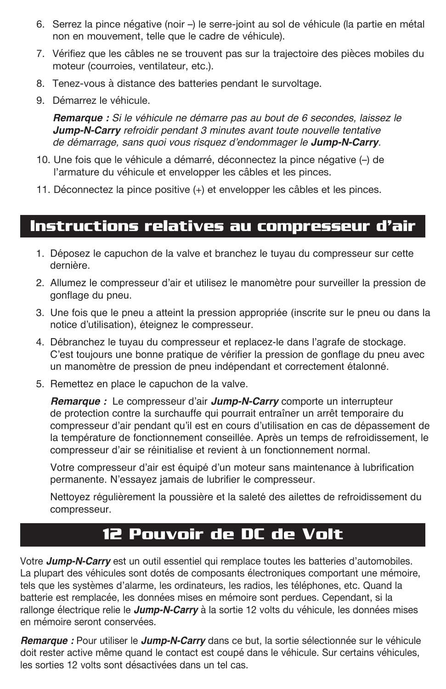- 6. Serrez la pince négative (noir –) le serre-joint au sol de véhicule (la partie en métal non en mouvement, telle que le cadre de véhicule).
- 7. Vérifiez que les câbles ne se trouvent pas sur la trajectoire des pièces mobiles du moteur (courroies, ventilateur, etc.).
- 8. Tenez-vous à distance des batteries pendant le survoltage.
- 9. Démarrez le véhicule.

**Remarque :** Si le véhicule ne démarre pas au bout de 6 secondes, laissez le **Jump-N-Carry** refroidir pendant 3 minutes avant toute nouvelle tentative de démarrage, sans quoi vous risquez d'endommager le **Jump-N-Carry**.

- 10. Une fois que le véhicule a démarré, déconnectez la pince négative (-) de l'armature du véhicule et envelopper les câbles et les pinces.
- 11. Déconnectez la pince positive (+) et envelopper les câbles et les pinces.

#### **Instructions relatives au compresseur d'air**

- 1. Déposez le capuchon de la valve et branchez le tuyau du compresseur sur cette dernière.
- 2. Allumez le compresseur d'air et utilisez le manomètre pour surveiller la pression de gonflage du pneu.
- 3. Une fois que le pneu a atteint la pression appropriée (inscrite sur le pneu ou dans la notice d'utilisation), éteignez le compresseur.
- 4. Débranchez le tuyau du compresseur et replacez-le dans l'agrafe de stockage. C'est toujours une bonne pratique de vérifier la pression de gonflage du pneu avec un manomètre de pression de pneu indépendant et correctement étalonné.
- 5. Remettez en place le capuchon de la valve.

**Remarque :** Le compresseur d'air **Jump-N-Carry** comporte un interrupteur de protection contre la surchauffe qui pourrait entraîner un arrêt temporaire du compresseur d'air pendant qu'il est en cours d'utilisation en cas de dépassement de la température de fonctionnement conseillée. Après un temps de refroidissement, le compresseur d'air se réinitialise et revient à un fonctionnement normal.

Votre compresseur d'air est équipé d'un moteur sans maintenance à lubrification permanente. N'essayez jamais de lubrifier le compresseur.

 Nettoyez régulièrement la poussière et la saleté des ailettes de refroidissement du compresseur.

### **12 Pouvoir de DC de Volt**

Votre **Jump-N-Carry** est un outil essentiel qui remplace toutes les batteries d'automobiles. La plupart des véhicules sont dotés de composants électroniques comportant une mémoire, tels que les systèmes d'alarme, les ordinateurs, les radios, les téléphones, etc. Quand la batterie est remplacée, les données mises en mémoire sont perdues. Cependant, si la rallonge électrique relie le **Jump-N-Carry** à la sortie 12 volts du véhicule, les données mises en mémoire seront conservées.

**Remarque :** Pour utiliser le **Jump-N-Carry** dans ce but, la sortie sélectionnée sur le véhicule doit rester active même quand le contact est coupé dans le véhicule. Sur certains véhicules, les sorties 12 volts sont désactivées dans un tel cas.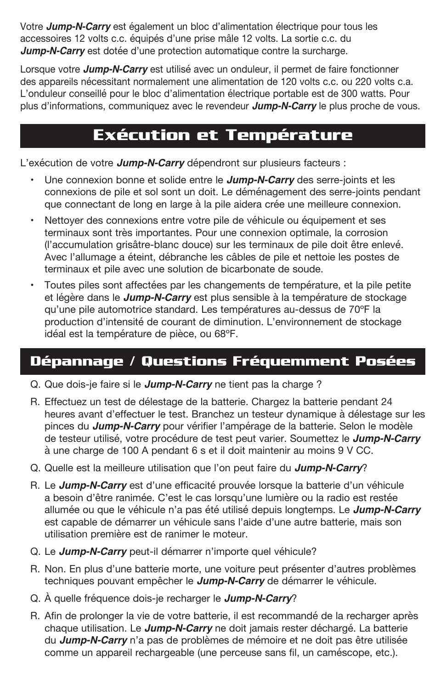Votre **Jump-N-Carry** est également un bloc d'alimentation électrique pour tous les accessoires 12 volts c.c. équipés d'une prise mâle 12 volts. La sortie c.c. du **Jump-N-Carry** est dotée d'une protection automatique contre la surcharge.

Lorsque votre **Jump-N-Carry** est utilisé avec un onduleur, il permet de faire fonctionner des appareils nécessitant normalement une alimentation de 120 volts c.c. ou 220 volts c.a. L'onduleur conseillé pour le bloc d'alimentation électrique portable est de 300 watts. Pour plus d'informations, communiquez avec le revendeur **Jump-N-Carry** le plus proche de vous.

### **Exécution et Température**

L'exécution de votre **Jump-N-Carry** dépendront sur plusieurs facteurs :

- Une connexion bonne et solide entre le **Jump-N-Carry** des serre-joints et les connexions de pile et sol sont un doit. Le déménagement des serre-joints pendant que connectant de long en large à la pile aidera crée une meilleure connexion.
- Nettoyer des connexions entre votre pile de véhicule ou équipement et ses terminaux sont très importantes. Pour une connexion optimale, la corrosion (l'accumulation grisâtre-blanc douce) sur les terminaux de pile doit être enlevé. Avec l'allumage a éteint, débranche les câbles de pile et nettoie les postes de terminaux et pile avec une solution de bicarbonate de soude.
- Toutes piles sont affectées par les changements de température, et la pile petite et légère dans le **Jump-N-Carry** est plus sensible à la température de stockage qu'une pile automotrice standard. Les températures au-dessus de 70ºF la production d'intensité de courant de diminution. L'environnement de stockage idéal est la température de pièce, ou 68ºF.

### **Dépannage / Questions Fréquemment Posées**

- Q. Que dois-je faire si le **Jump-N-Carry** ne tient pas la charge ?
- R. Effectuez un test de délestage de la batterie. Chargez la batterie pendant 24 heures avant d'effectuer le test. Branchez un testeur dynamique à délestage sur les pinces du **Jump-N-Carry** pour vérifier l'ampérage de la batterie. Selon le modèle de testeur utilisé, votre procédure de test peut varier. Soumettez le **Jump-N-Carry** à une charge de 100 A pendant 6 s et il doit maintenir au moins 9 V CC.
- Q. Quelle est la meilleure utilisation que l'on peut faire du **Jump-N-Carry**?
- R. Le **Jump-N-Carry** est d'une efficacité prouvée lorsque la batterie d'un véhicule a besoin d'être ranimée. C'est le cas lorsqu'une lumière ou la radio est restée allumée ou que le véhicule n'a pas été utilisé depuis longtemps. Le **Jump-N-Carry** est capable de démarrer un véhicule sans l'aide d'une autre batterie, mais son utilisation première est de ranimer le moteur.
- Q. Le **Jump-N-Carry** peut-il démarrer n'importe quel véhicule?
- R. Non. En plus d'une batterie morte, une voiture peut présenter d'autres problèmes techniques pouvant empêcher le **Jump-N-Carry** de démarrer le véhicule.
- Q. À quelle fréquence dois-je recharger le **Jump-N-Carry**?
- R. Afin de prolonger la vie de votre batterie, il est recommandé de la recharger après chaque utilisation. Le **Jump-N-Carry** ne doit jamais rester déchargé. La batterie du **Jump-N-Carry** n'a pas de problèmes de mémoire et ne doit pas être utilisée comme un appareil rechargeable (une perceuse sans fil, un caméscope, etc.).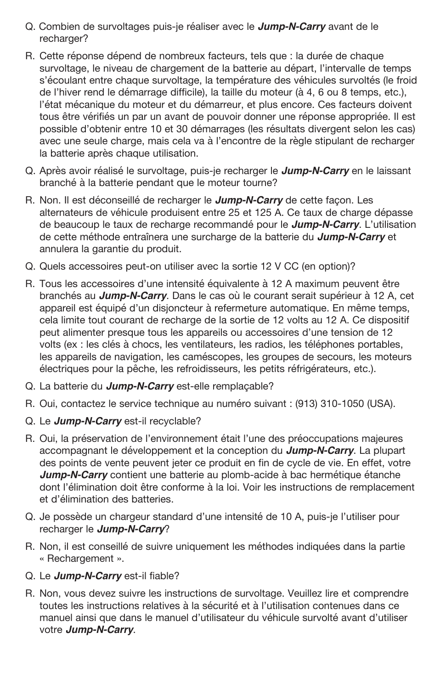- Q. Combien de survoltages puis-je réaliser avec le **Jump-N-Carry** avant de le recharger?
- R. Cette réponse dépend de nombreux facteurs, tels que : la durée de chaque survoltage, le niveau de chargement de la batterie au départ, l'intervalle de temps s'écoulant entre chaque survoltage, la température des véhicules survoltés (le froid de l'hiver rend le démarrage difficile), la taille du moteur (à 4, 6 ou 8 temps, etc.), l'état mécanique du moteur et du démarreur, et plus encore. Ces facteurs doivent tous être vérifiés un par un avant de pouvoir donner une réponse appropriée. Il est possible d'obtenir entre 10 et 30 démarrages (les résultats divergent selon les cas) avec une seule charge, mais cela va à l'encontre de la règle stipulant de recharger la batterie après chaque utilisation.
- Q. Après avoir réalisé le survoltage, puis-je recharger le **Jump-N-Carry** en le laissant branché à la batterie pendant que le moteur tourne?
- R. Non. Il est déconseillé de recharger le **Jump-N-Carry** de cette façon. Les alternateurs de véhicule produisent entre 25 et 125 A. Ce taux de charge dépasse de beaucoup le taux de recharge recommandé pour le **Jump-N-Carry**. L'utilisation de cette méthode entraînera une surcharge de la batterie du **Jump-N-Carry** et annulera la garantie du produit.
- Q. Quels accessoires peut-on utiliser avec la sortie 12 V CC (en option)?
- R. Tous les accessoires d'une intensité équivalente à 12 A maximum peuvent être branchés au **Jump-N-Carry**. Dans le cas où le courant serait supérieur à 12 A, cet appareil est équipé d'un disjoncteur à refermeture automatique. En même temps, cela limite tout courant de recharge de la sortie de 12 volts au 12 A. Ce dispositif peut alimenter presque tous les appareils ou accessoires d'une tension de 12 volts (ex : les clés à chocs, les ventilateurs, les radios, les téléphones portables, les appareils de navigation, les caméscopes, les groupes de secours, les moteurs électriques pour la pêche, les refroidisseurs, les petits réfrigérateurs, etc.).
- Q. La batterie du **Jump-N-Carry** est-elle remplaçable?
- R. Oui, contactez le service technique au numéro suivant : (913) 310-1050 (USA).
- Q. Le **Jump-N-Carry** est-il recyclable?
- R. Oui, la préservation de l'environnement était l'une des préoccupations majeures accompagnant le développement et la conception du **Jump-N-Carry**. La plupart des points de vente peuvent jeter ce produit en fin de cycle de vie. En effet, votre **Jump-N-Carry** contient une batterie au plomb-acide à bac hermétique étanche dont l'élimination doit être conforme à la loi. Voir les instructions de remplacement et d'élimination des batteries.
- Q. Je possède un chargeur standard d'une intensité de 10 A, puis-je l'utiliser pour recharger le **Jump-N-Carry**?
- R. Non, il est conseillé de suivre uniquement les méthodes indiquées dans la partie « Rechargement ».
- Q. Le **Jump-N-Carry** est-il fiable?
- R. Non, vous devez suivre les instructions de survoltage. Veuillez lire et comprendre toutes les instructions relatives à la sécurité et à l'utilisation contenues dans ce manuel ainsi que dans le manuel d'utilisateur du véhicule survolté avant d'utiliser votre **Jump-N-Carry**.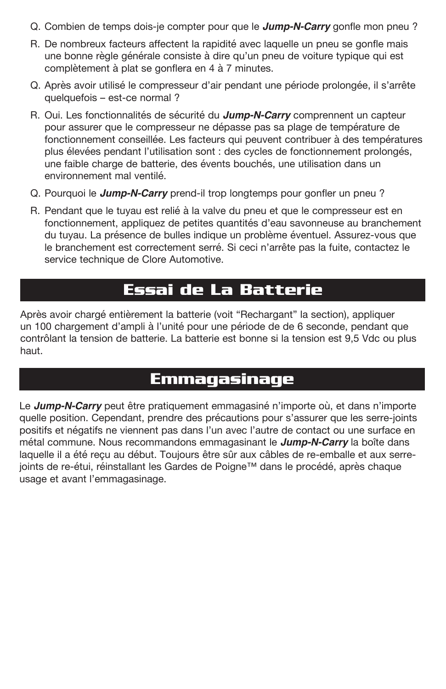- Q. Combien de temps dois-je compter pour que le **Jump-N-Carry** gonfle mon pneu ?
- R. De nombreux facteurs affectent la rapidité avec laquelle un pneu se gonfle mais une bonne règle générale consiste à dire qu'un pneu de voiture typique qui est complètement à plat se gonflera en 4 à 7 minutes.
- Q. Après avoir utilisé le compresseur d'air pendant une période prolongée, il s'arrête quelquefois – est-ce normal ?
- R. Oui. Les fonctionnalités de sécurité du **Jump-N-Carry** comprennent un capteur pour assurer que le compresseur ne dépasse pas sa plage de température de fonctionnement conseillée. Les facteurs qui peuvent contribuer à des températures plus élevées pendant l'utilisation sont : des cycles de fonctionnement prolongés, une faible charge de batterie, des évents bouchés, une utilisation dans un environnement mal ventilé.
- Q. Pourquoi le **Jump-N-Carry** prend-il trop longtemps pour gonfler un pneu ?
- R. Pendant que le tuyau est relié à la valve du pneu et que le compresseur est en fonctionnement, appliquez de petites quantités d'eau savonneuse au branchement du tuyau. La présence de bulles indique un problème éventuel. Assurez-vous que le branchement est correctement serré. Si ceci n'arrête pas la fuite, contactez le service technique de Clore Automotive.

### **Essai de La Batterie**

Après avoir chargé entièrement la batterie (voit "Rechargant" la section), appliquer un 100 chargement d'ampli à l'unité pour une période de de 6 seconde, pendant que contrôlant la tension de batterie. La batterie est bonne si la tension est 9,5 Vdc ou plus haut.

### **Emmagasinage**

Le **Jump-N-Carry** peut être pratiquement emmagasiné n'importe où, et dans n'importe quelle position. Cependant, prendre des précautions pour s'assurer que les serre-joints positifs et négatifs ne viennent pas dans l'un avec l'autre de contact ou une surface en métal commune. Nous recommandons emmagasinant le **Jump-N-Carry** la boîte dans laquelle il a été reçu au début. Toujours être sûr aux câbles de re-emballe et aux serrejoints de re-étui, réinstallant les Gardes de Poigne™ dans le procédé, après chaque usage et avant l'emmagasinage.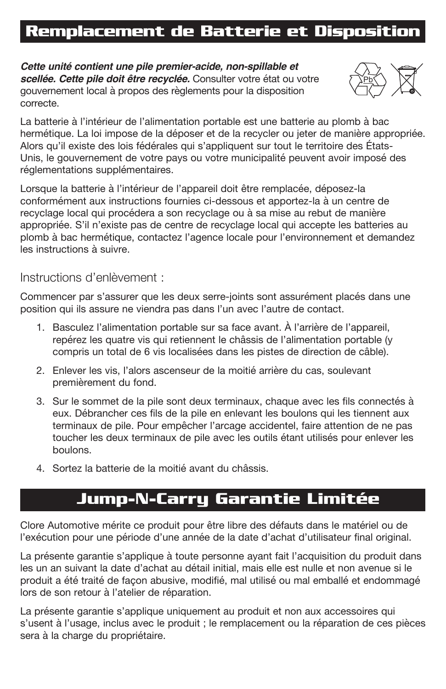# **Remplacement de Batterie et Disposition**

**Cette unité contient une pile premier-acide, non-spillable et scellée. Cette pile doit être recyclée.** Consulter votre état ou votre gouvernement local à propos des règlements pour la disposition correcte.



La batterie à l'intérieur de l'alimentation portable est une batterie au plomb à bac hermétique. La loi impose de la déposer et de la recycler ou jeter de manière appropr Alors qu'il existe des lois fédérales qui s'appliquent sur tout le territoire des États-Unis, le gouvernement de votre pays ou votre municipalité peuvent avoir imposé des réglementations supplémentaires.

Lorsque la batterie à l'intérieur de l'appareil doit être remplacée, déposez-la conformément aux instructions fournies ci-dessous et apportez-la à un centre de recyclage local qui procédera a son recyclage ou à sa mise au rebut de manière appropriée. S'il n'existe pas de centre de recyclage local qui accepte les batteries au plomb à bac hermétique, contactez l'agence locale pour l'environnement et demandez les instructions à suivre.

Instructions d'enlèvement :

Commencer par s'assurer que les deux serre-joints sont assurément placés dans une position qui ils assure ne viendra pas dans l'un avec l'autre de contact.

- 1. Basculez l'alimentation portable sur sa face avant. À l'arrière de l'appareil, repérez les quatre vis qui retiennent le châssis de l'alimentation portable (y compris un total de 6 vis localisées dans les pistes de direction de câble).
- 2. Enlever les vis, l'alors ascenseur de la moitié arrière du cas, soulevant premièrement du fond.
- 3. Sur le sommet de la pile sont deux terminaux, chaque avec les fils connectés à eux. Débrancher ces fils de la pile en enlevant les boulons qui les tiennent aux terminaux de pile. Pour empêcher l'arcage accidentel, faire attention de ne pas toucher les deux terminaux de pile avec les outils étant utilisés pour enlever les boulons.
- 4. Sortez la batterie de la moitié avant du châssis.

### **Jump-N-Carry Garantie Limitée**

Clore Automotive mérite ce produit pour être libre des défauts dans le matériel ou de l'exécution pour une période d'une année de la date d'achat d'utilisateur final original.

La présente garantie s'applique à toute personne ayant fait l'acquisition du produit dans les un an suivant la date d'achat au détail initial, mais elle est nulle et non avenue si le produit a été traité de façon abusive, modifié, mal utilisé ou mal emballé et endommagé lors de son retour à l'atelier de réparation.

La présente garantie s'applique uniquement au produit et non aux accessoires qui s'usent à l'usage, inclus avec le produit ; le remplacement ou la réparation de ces pièces sera à la charge du propriétaire.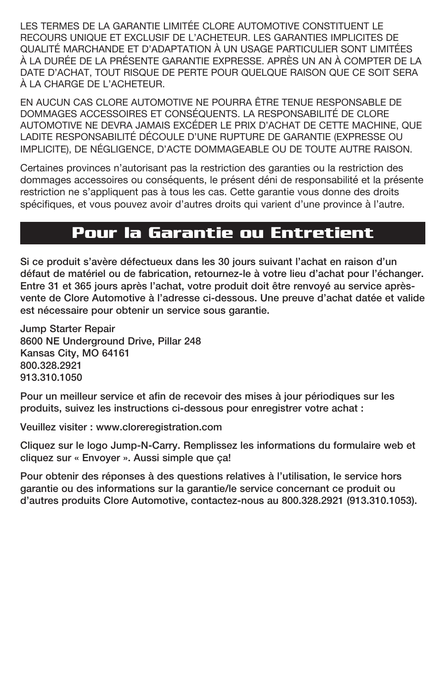LES TERMES DE LA GARANTIE LIMITÉE CLORE AUTOMOTIVE CONSTITUENT LE RECOURS UNIQUE ET EXCLUSIF DE L'ACHETEUR. LES GARANTIES IMPLICITES DE QUALITÉ MARCHANDE ET D'ADAPTATION À UN USAGE PARTICULIER SONT LIMITÉES À LA DURÉE DE LA PRÉSENTE GARANTIE EXPRESSE. APRÈS UN AN À COMPTER DE LA DATE D'ACHAT, TOUT RISQUE DE PERTE POUR QUELQUE RAISON QUE CE SOIT SERA À LA CHARGE DE L'ACHETEUR.

EN AUCUN CAS CLORE AUTOMOTIVE NE POURRA ÊTRE TENUE RESPONSABLE DE DOMMAGES ACCESSOIRES ET CONSÉQUENTS. LA RESPONSABILITÉ DE CLORE AUTOMOTIVE NE DEVRA JAMAIS EXCÉDER LE PRIX D'ACHAT DE CETTE MACHINE, QUE LADITE RESPONSABILITÉ DÉCOULE D'UNE RUPTURE DE GARANTIE (EXPRESSE OU IMPLICITE), DE NÉGLIGENCE, D'ACTE DOMMAGEABLE OU DE TOUTE AUTRE RAISON.

Certaines provinces n'autorisant pas la restriction des garanties ou la restriction des dommages accessoires ou conséquents, le présent déni de responsabilité et la présente restriction ne s'appliquent pas à tous les cas. Cette garantie vous donne des droits spécifiques, et vous pouvez avoir d'autres droits qui varient d'une province à l'autre.

#### **Pour la Garantie ou Entretient**

Si ce produit s'avère défectueux dans les 30 jours suivant l'achat en raison d'un défaut de matériel ou de fabrication, retournez-le à votre lieu d'achat pour l'échanger. Entre 31 et 365 jours après l'achat, votre produit doit être renvoyé au service aprèsvente de Clore Automotive à l'adresse ci-dessous. Une preuve d'achat datée et valide est nécessaire pour obtenir un service sous garantie.

Jump Starter Repair 8600 NE Underground Drive, Pillar 248 Kansas City, MO 64161 800.328.2921 913.310.1050

Pour un meilleur service et afin de recevoir des mises à jour périodiques sur les produits, suivez les instructions ci-dessous pour enregistrer votre achat :

Veuillez visiter : www.cloreregistration.com

Cliquez sur le logo Jump-N-Carry. Remplissez les informations du formulaire web et cliquez sur « Envoyer ». Aussi simple que ça!

Pour obtenir des réponses à des questions relatives à l'utilisation, le service hors garantie ou des informations sur la garantie/le service concernant ce produit ou d'autres produits Clore Automotive, contactez-nous au 800.328.2921 (913.310.1053).